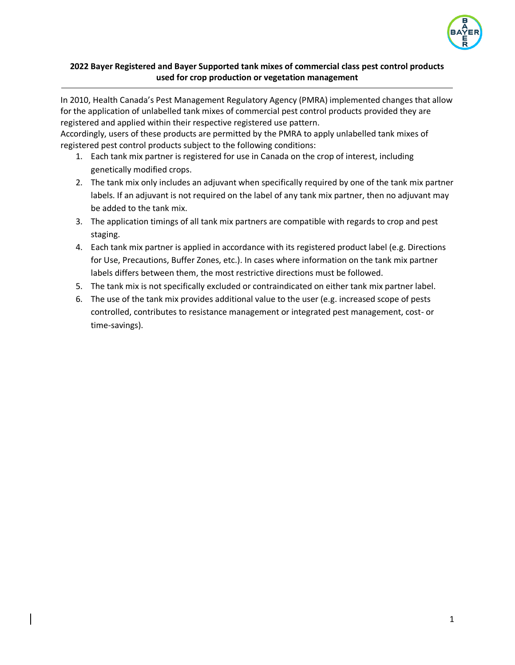

## **2022 Bayer Registered and Bayer Supported tank mixes of commercial class pest control products used for crop production or vegetation management**

In 2010, Health Canada's Pest Management Regulatory Agency (PMRA) implemented changes that allow for the application of unlabelled tank mixes of commercial pest control products provided they are registered and applied within their respective registered use pattern.

Accordingly, users of these products are permitted by the PMRA to apply unlabelled tank mixes of registered pest control products subject to the following conditions:

- 1. Each tank mix partner is registered for use in Canada on the crop of interest, including genetically modified crops.
- 2. The tank mix only includes an adjuvant when specifically required by one of the tank mix partner labels. If an adjuvant is not required on the label of any tank mix partner, then no adjuvant may be added to the tank mix.
- 3. The application timings of all tank mix partners are compatible with regards to crop and pest staging.
- 4. Each tank mix partner is applied in accordance with its registered product label (e.g. Directions for Use, Precautions, Buffer Zones, etc.). In cases where information on the tank mix partner labels differs between them, the most restrictive directions must be followed.
- 5. The tank mix is not specifically excluded or contraindicated on either tank mix partner label.
- 6. The use of the tank mix provides additional value to the user (e.g. increased scope of pests controlled, contributes to resistance management or integrated pest management, cost- or time-savings).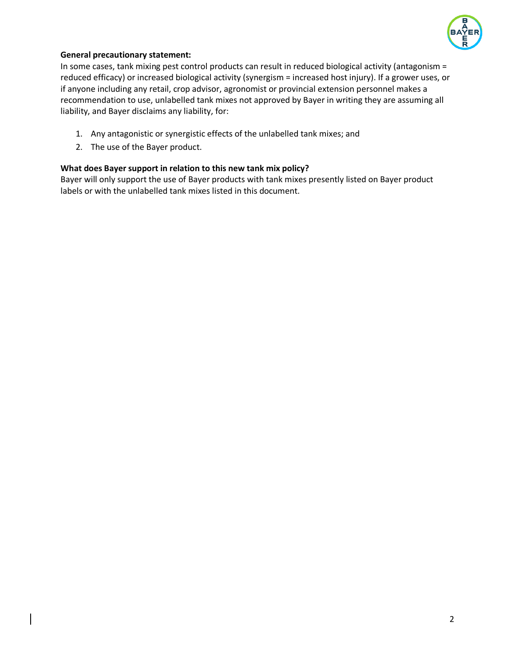

### **General precautionary statement:**

In some cases, tank mixing pest control products can result in reduced biological activity (antagonism = reduced efficacy) or increased biological activity (synergism = increased host injury). If a grower uses, or if anyone including any retail, crop advisor, agronomist or provincial extension personnel makes a recommendation to use, unlabelled tank mixes not approved by Bayer in writing they are assuming all liability, and Bayer disclaims any liability, for:

- 1. Any antagonistic or synergistic effects of the unlabelled tank mixes; and
- 2. The use of the Bayer product.

#### **What does Bayer support in relation to this new tank mix policy?**

Bayer will only support the use of Bayer products with tank mixes presently listed on Bayer product labels or with the unlabelled tank mixes listed in this document.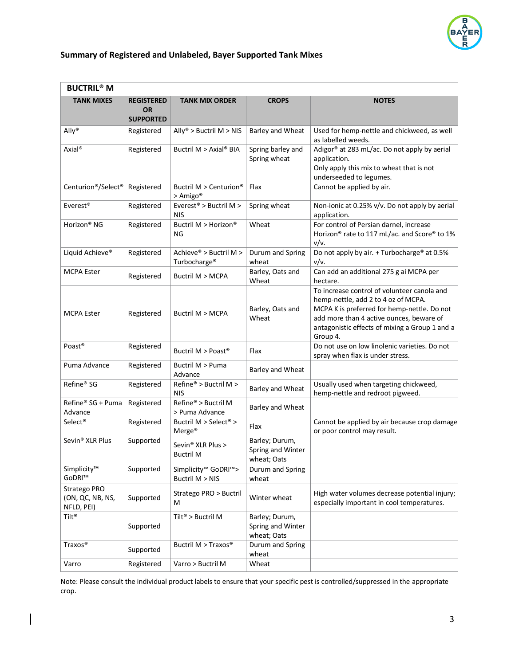

## **Summary of Registered and Unlabeled, Bayer Supported Tank Mixes**

| <b>BUCTRIL<sup>®</sup> M</b>                   |                                |                                                                 |                                                    |                                                                                                                                                                                                                                             |
|------------------------------------------------|--------------------------------|-----------------------------------------------------------------|----------------------------------------------------|---------------------------------------------------------------------------------------------------------------------------------------------------------------------------------------------------------------------------------------------|
| <b>TANK MIXES</b>                              | <b>REGISTERED</b><br><b>OR</b> | <b>TANK MIX ORDER</b>                                           | <b>CROPS</b>                                       | <b>NOTES</b>                                                                                                                                                                                                                                |
|                                                | <b>SUPPORTED</b>               |                                                                 |                                                    |                                                                                                                                                                                                                                             |
| Ally®                                          | Registered                     | Ally® > Buctril $M > NIS$                                       | <b>Barley and Wheat</b>                            | Used for hemp-nettle and chickweed, as well<br>as labelled weeds.                                                                                                                                                                           |
| Axial <sup>®</sup>                             | Registered                     | Buctril M > Axial® BIA                                          | Spring barley and<br>Spring wheat                  | Adigor® at 283 mL/ac. Do not apply by aerial<br>application.<br>Only apply this mix to wheat that is not<br>underseeded to legumes.                                                                                                         |
| Centurion®/Select®                             | Registered                     | Buctril M > Centurion®<br>> Amigo <sup>®</sup>                  | Flax                                               | Cannot be applied by air.                                                                                                                                                                                                                   |
| Everest <sup>®</sup>                           | Registered                     | Everest <sup>®</sup> > Buctril M ><br><b>NIS</b>                | Spring wheat                                       | Non-ionic at 0.25% v/v. Do not apply by aerial<br>application.                                                                                                                                                                              |
| Horizon <sup>®</sup> NG                        | Registered                     | Buctril M > Horizon®<br>ΝG                                      | Wheat                                              | For control of Persian darnel, increase<br>Horizon <sup>®</sup> rate to 117 mL/ac. and Score® to 1%<br>v/v.                                                                                                                                 |
| Liquid Achieve®                                | Registered                     | Achieve® > Buctril M ><br>Turbocharge <sup>®</sup>              | Durum and Spring<br>wheat                          | Do not apply by air. + Turbocharge® at 0.5%<br>v/v.                                                                                                                                                                                         |
| <b>MCPA Ester</b>                              | Registered                     | Buctril M > MCPA                                                | Barley, Oats and<br>Wheat                          | Can add an additional 275 g ai MCPA per<br>hectare.                                                                                                                                                                                         |
| <b>MCPA Ester</b>                              | Registered                     | <b>Buctril M &gt; MCPA</b>                                      | Barley, Oats and<br>Wheat                          | To increase control of volunteer canola and<br>hemp-nettle, add 2 to 4 oz of MCPA.<br>MCPA K is preferred for hemp-nettle. Do not<br>add more than 4 active ounces, beware of<br>antagonistic effects of mixing a Group 1 and a<br>Group 4. |
| Poast <sup>®</sup>                             | Registered                     | Buctril M > Poast <sup>®</sup>                                  | Flax                                               | Do not use on low linolenic varieties. Do not<br>spray when flax is under stress.                                                                                                                                                           |
| Puma Advance                                   | Registered                     | Buctril M > Puma<br>Advance                                     | <b>Barley and Wheat</b>                            |                                                                                                                                                                                                                                             |
| Refine® SG                                     | Registered                     | Refine® > Buctril M ><br><b>NIS</b>                             | <b>Barley and Wheat</b>                            | Usually used when targeting chickweed,<br>hemp-nettle and redroot pigweed.                                                                                                                                                                  |
| Refine® SG + Puma<br>Advance                   | Registered                     | Refine® > Buctril M<br>> Puma Advance                           | <b>Barley and Wheat</b>                            |                                                                                                                                                                                                                                             |
| Select <sup>®</sup>                            | Registered                     | Buctril M > Select <sup>®</sup> ><br>Merge <sup>®</sup>         | Flax                                               | Cannot be applied by air because crop damage<br>or poor control may result.                                                                                                                                                                 |
| Sevin <sup>®</sup> XLR Plus                    | Supported                      | Sevin <sup>®</sup> XLR Plus ><br><b>Buctril M</b>               | Barley; Durum,<br>Spring and Winter<br>wheat; Oats |                                                                                                                                                                                                                                             |
| Simplicity™<br>GoDRI™                          | Supported                      | Simplicity <sup>™</sup> GoDRI <sup>™</sup> ><br>Buctril M > NIS | Durum and Spring<br>wheat                          |                                                                                                                                                                                                                                             |
| Stratego PRO<br>(ON, QC, NB, NS,<br>NFLD, PEI) | Supported                      | Stratego PRO > Buctril<br>м                                     | Winter wheat                                       | High water volumes decrease potential injury;<br>especially important in cool temperatures.                                                                                                                                                 |
| Tilt®                                          | Supported                      | Tilt® > Buctril M                                               | Barley; Durum,<br>Spring and Winter<br>wheat; Oats |                                                                                                                                                                                                                                             |
| Traxos <sup>®</sup>                            | Supported                      | Buctril M > Traxos®                                             | Durum and Spring<br>wheat                          |                                                                                                                                                                                                                                             |
| Varro                                          | Registered                     | Varro > Buctril M                                               | Wheat                                              |                                                                                                                                                                                                                                             |

Note: Please consult the individual product labels to ensure that your specific pest is controlled/suppressed in the appropriate crop.

 $\begin{array}{c} \hline \end{array}$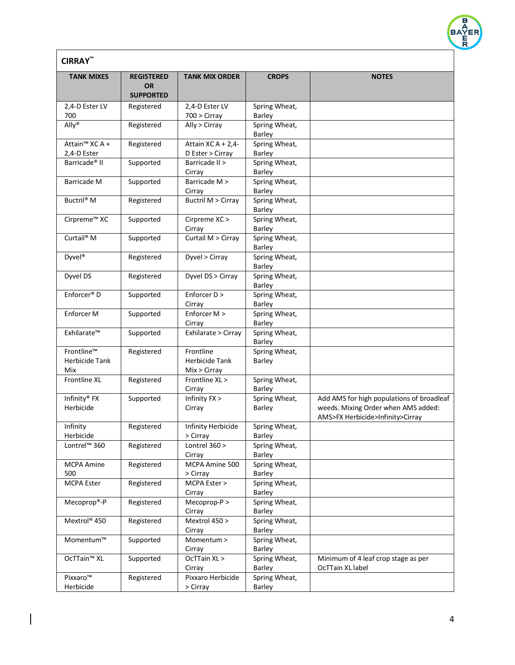

| <b>CIRRAY</b>                             |                                                    |                                             |                                |                                                                                                                      |  |
|-------------------------------------------|----------------------------------------------------|---------------------------------------------|--------------------------------|----------------------------------------------------------------------------------------------------------------------|--|
| <b>TANK MIXES</b>                         | <b>REGISTERED</b><br><b>OR</b><br><b>SUPPORTED</b> | <b>TANK MIX ORDER</b>                       | <b>CROPS</b>                   | <b>NOTES</b>                                                                                                         |  |
| 2,4-D Ester LV<br>700                     | Registered                                         | 2,4-D Ester LV<br>$700 >$ Cirray            | Spring Wheat,<br>Barley        |                                                                                                                      |  |
| Ally <sup>®</sup>                         | Registered                                         | Ally > Cirray                               | Spring Wheat,<br>Barley        |                                                                                                                      |  |
| Attain <sup>™</sup> XC A +<br>2,4-D Ester | Registered                                         | Attain $XC A + 2,4-$<br>D Ester > Cirray    | Spring Wheat,<br><b>Barley</b> |                                                                                                                      |  |
| Barricade <sup>®</sup> II                 | Supported                                          | Barricade II ><br>Cirray                    | Spring Wheat,<br>Barley        |                                                                                                                      |  |
| Barricade M                               | Supported                                          | Barricade M ><br>Cirray                     | Spring Wheat,<br><b>Barley</b> |                                                                                                                      |  |
| Buctril® M                                | Registered                                         | <b>Buctril M &gt; Cirray</b>                | Spring Wheat,<br><b>Barley</b> |                                                                                                                      |  |
| Cirpreme <sup>™</sup> XC                  | Supported                                          | Cirpreme XC ><br>Cirray                     | Spring Wheat,<br>Barley        |                                                                                                                      |  |
| Curtail® M                                | Supported                                          | Curtail M > Cirray                          | Spring Wheat,<br><b>Barley</b> |                                                                                                                      |  |
| Dyvel <sup>®</sup>                        | Registered                                         | Dyvel > Cirray                              | Spring Wheat,<br>Barley        |                                                                                                                      |  |
| Dyvel DS                                  | Registered                                         | Dyvel DS > Cirray                           | Spring Wheat,<br>Barley        |                                                                                                                      |  |
| Enforcer <sup>®</sup> D                   | Supported                                          | Enforcer D ><br>Cirray                      | Spring Wheat,<br><b>Barley</b> |                                                                                                                      |  |
| Enforcer M                                | Supported                                          | Enforcer M ><br>Cirray                      | Spring Wheat,<br>Barley        |                                                                                                                      |  |
| Exhilarate™                               | Supported                                          | Exhilarate > Cirray                         | Spring Wheat,<br><b>Barley</b> |                                                                                                                      |  |
| Frontline™<br>Herbicide Tank<br>Mix       | Registered                                         | Frontline<br>Herbicide Tank<br>Mix > Cirray | Spring Wheat,<br><b>Barley</b> |                                                                                                                      |  |
| Frontline XL                              | Registered                                         | Frontline XL ><br>Cirray                    | Spring Wheat,<br>Barley        |                                                                                                                      |  |
| Infinity® FX<br>Herbicide                 | Supported                                          | Infinity FX ><br>Cirray                     | Spring Wheat,<br>Barley        | Add AMS for high populations of broadleaf<br>weeds. Mixing Order when AMS added:<br>AMS>FX Herbicide>Infinity>Cirray |  |
| Infinity<br>Herbicide                     | Registered                                         | Infinity Herbicide<br>> Cirray              | Spring Wheat,<br><b>Barley</b> |                                                                                                                      |  |
| Lontrel <sup>™</sup> 360                  | Registered                                         | Lontrel $360 >$<br>Cirray                   | Spring Wheat,<br><b>Barley</b> |                                                                                                                      |  |
| <b>MCPA Amine</b><br>500                  | Registered                                         | MCPA Amine 500<br>> Cirray                  | Spring Wheat,<br>Barley        |                                                                                                                      |  |
| <b>MCPA Ester</b>                         | Registered                                         | MCPA Ester ><br>Cirray                      | Spring Wheat,<br><b>Barley</b> |                                                                                                                      |  |
| Mecoprop®-P                               | Registered                                         | Mecoprop-P ><br>Cirray                      | Spring Wheat,<br><b>Barley</b> |                                                                                                                      |  |
| Mextrol <sup>®</sup> 450                  | Registered                                         | Mextrol 450 ><br>Cirray                     | Spring Wheat,<br><b>Barley</b> |                                                                                                                      |  |
| Momentum™                                 | Supported                                          | Momentum ><br>Cirray                        | Spring Wheat,<br><b>Barley</b> |                                                                                                                      |  |
| OcTTain <sup>™</sup> XL                   | Supported                                          | OcTTain XL ><br>Cirray                      | Spring Wheat,<br>Barley        | Minimum of 4 leaf crop stage as per<br>OcTTain XL label                                                              |  |
| Pixxaro™<br>Herbicide                     | Registered                                         | Pixxaro Herbicide<br>> Cirray               | Spring Wheat,<br>Barley        |                                                                                                                      |  |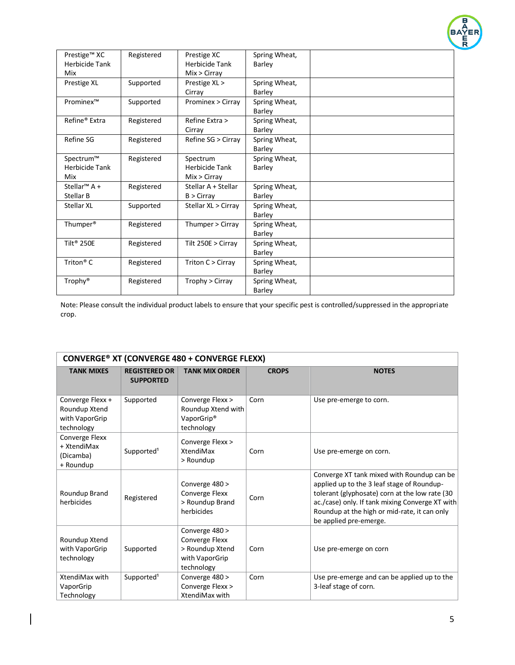

| Prestige™ XC             | Registered | Prestige XC           | Spring Wheat, |  |
|--------------------------|------------|-----------------------|---------------|--|
| Herbicide Tank           |            | <b>Herbicide Tank</b> | Barley        |  |
| Mix                      |            | Mix > Cirray          |               |  |
| Prestige XL              | Supported  | Prestige XL >         | Spring Wheat, |  |
|                          |            | Cirray                | Barley        |  |
| Prominex™                | Supported  | Prominex > Cirray     | Spring Wheat, |  |
|                          |            |                       | Barley        |  |
| Refine® Extra            | Registered | Refine Extra >        | Spring Wheat, |  |
|                          |            | Cirrav                | Barley        |  |
| Refine SG                | Registered | Refine SG > Cirray    | Spring Wheat, |  |
|                          |            |                       | Barley        |  |
| Spectrum™                | Registered | Spectrum              | Spring Wheat, |  |
| <b>Herbicide Tank</b>    |            | <b>Herbicide Tank</b> | <b>Barley</b> |  |
| Mix                      |            | Mix > Cirray          |               |  |
| Stellar <sup>™</sup> A + | Registered | Stellar A + Stellar   | Spring Wheat, |  |
| <b>Stellar B</b>         |            | $B >$ Cirray          | <b>Barley</b> |  |
| <b>Stellar XL</b>        | Supported  | Stellar XL > Cirray   | Spring Wheat, |  |
|                          |            |                       | Barley        |  |
| Thumper <sup>®</sup>     | Registered | Thumper > Cirray      | Spring Wheat, |  |
|                          |            |                       | Barley        |  |
| Tilt <sup>®</sup> 250E   | Registered | Tilt $250E >$ Cirray  | Spring Wheat, |  |
|                          |            |                       | Barley        |  |
| Triton <sup>®</sup> C    | Registered | Triton C > Cirray     | Spring Wheat, |  |
|                          |            |                       | Barley        |  |
| Trophy®                  | Registered | Trophy > Cirray       | Spring Wheat, |  |
|                          |            |                       | <b>Barley</b> |  |

| <b>CONVERGE® XT (CONVERGE 480 + CONVERGE FLEXX)</b>               |                                          |                                                                                     |              |                                                                                                                                                                                                                                                                         |  |
|-------------------------------------------------------------------|------------------------------------------|-------------------------------------------------------------------------------------|--------------|-------------------------------------------------------------------------------------------------------------------------------------------------------------------------------------------------------------------------------------------------------------------------|--|
| <b>TANK MIXES</b>                                                 | <b>REGISTERED OR</b><br><b>SUPPORTED</b> | <b>TANK MIX ORDER</b>                                                               | <b>CROPS</b> | <b>NOTES</b>                                                                                                                                                                                                                                                            |  |
| Converge Flexx +<br>Roundup Xtend<br>with VaporGrip<br>technology | Supported                                | Converge Flexx ><br>Roundup Xtend with<br>VaporGrip®<br>technology                  | Corn         | Use pre-emerge to corn.                                                                                                                                                                                                                                                 |  |
| Converge Flexx<br>+ XtendiMax<br>(Dicamba)<br>+ Roundup           | Supported <sup>1</sup>                   | Converge Flexx ><br>XtendiMax<br>> Roundup                                          | Corn         | Use pre-emerge on corn.                                                                                                                                                                                                                                                 |  |
| Roundup Brand<br>herbicides                                       | Registered                               | Converge 480 ><br>Converge Flexx<br>> Roundup Brand<br>herbicides                   | Corn         | Converge XT tank mixed with Roundup can be<br>applied up to the 3 leaf stage of Roundup-<br>tolerant (glyphosate) corn at the low rate (30<br>ac./case) only. If tank mixing Converge XT with<br>Roundup at the high or mid-rate, it can only<br>be applied pre-emerge. |  |
| Roundup Xtend<br>with VaporGrip<br>technology                     | Supported                                | Converge 480 ><br>Converge Flexx<br>> Roundup Xtend<br>with VaporGrip<br>technology | Corn         | Use pre-emerge on corn                                                                                                                                                                                                                                                  |  |
| XtendiMax with<br>VaporGrip<br>Technology                         | Supported <sup>1</sup>                   | Converge 480 ><br>Converge Flexx ><br>XtendiMax with                                | Corn         | Use pre-emerge and can be applied up to the<br>3-leaf stage of corn.                                                                                                                                                                                                    |  |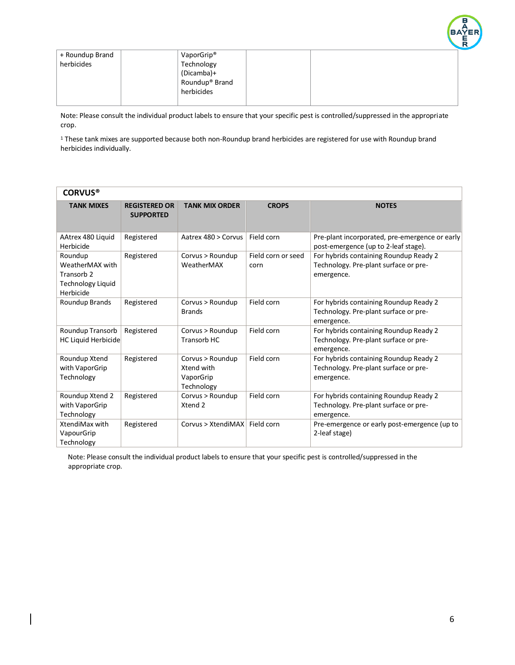

| + Roundup Brand | VaporGrip <sup>®</sup>     |  |  |
|-----------------|----------------------------|--|--|
| herbicides      | Technology                 |  |  |
|                 | (Dicamba)+                 |  |  |
|                 | Roundup <sup>®</sup> Brand |  |  |
|                 | herbicides                 |  |  |
|                 |                            |  |  |

<sup>1</sup> These tank mixes are supported because both non-Roundup brand herbicides are registered for use with Roundup brand herbicides individually.

| <b>CORVUS®</b>                                                                        |                                          |                                                           |                            |                                                                                               |  |  |
|---------------------------------------------------------------------------------------|------------------------------------------|-----------------------------------------------------------|----------------------------|-----------------------------------------------------------------------------------------------|--|--|
| <b>TANK MIXES</b>                                                                     | <b>REGISTERED OR</b><br><b>SUPPORTED</b> | <b>TANK MIX ORDER</b>                                     | <b>CROPS</b>               | <b>NOTES</b>                                                                                  |  |  |
| AAtrex 480 Liquid<br>Herbicide                                                        | Registered                               | Aatrex 480 > Corvus                                       | Field corn                 | Pre-plant incorporated, pre-emergence or early<br>post-emergence (up to 2-leaf stage).        |  |  |
| Roundup<br>WeatherMAX with<br>Transorb <sub>2</sub><br>Technology Liquid<br>Herbicide | Registered                               | Corvus > Roundup<br>WeatherMAX                            | Field corn or seed<br>corn | For hybrids containing Roundup Ready 2<br>Technology. Pre-plant surface or pre-<br>emergence. |  |  |
| Roundup Brands                                                                        | Registered                               | Corvus > Roundup<br><b>Brands</b>                         | Field corn                 | For hybrids containing Roundup Ready 2<br>Technology. Pre-plant surface or pre-<br>emergence. |  |  |
| Roundup Transorb<br>HC Liquid Herbicide                                               | Registered                               | Corvus > Roundup<br>Transorb HC                           | Field corn                 | For hybrids containing Roundup Ready 2<br>Technology. Pre-plant surface or pre-<br>emergence. |  |  |
| Roundup Xtend<br>with VaporGrip<br>Technology                                         | Registered                               | Corvus > Roundup<br>Xtend with<br>VaporGrip<br>Technology | Field corn                 | For hybrids containing Roundup Ready 2<br>Technology. Pre-plant surface or pre-<br>emergence. |  |  |
| Roundup Xtend 2<br>with VaporGrip<br>Technology                                       | Registered                               | Corvus > Roundup<br>Xtend 2                               | Field corn                 | For hybrids containing Roundup Ready 2<br>Technology. Pre-plant surface or pre-<br>emergence. |  |  |
| XtendiMax with<br>VapourGrip<br>Technology                                            | Registered                               | Corvus > XtendiMAX                                        | Field corn                 | Pre-emergence or early post-emergence (up to<br>2-leaf stage)                                 |  |  |

 Note: Please consult the individual product labels to ensure that your specific pest is controlled/suppressed in the appropriate crop.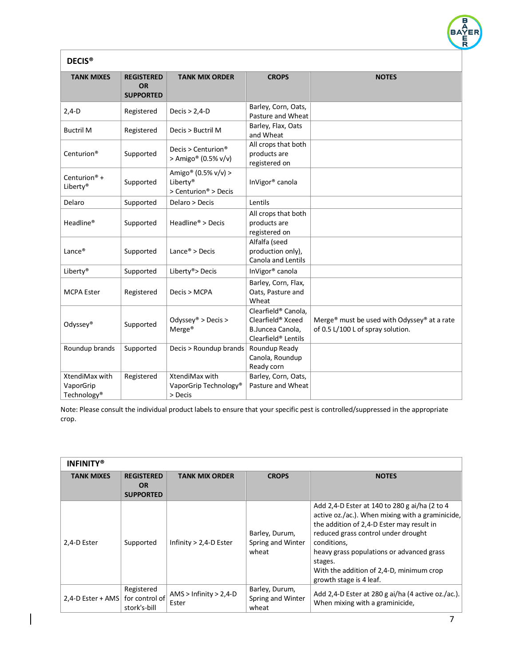| <b>DECIS<sup>®</sup></b>                               |                                                    |                                                                      |                                                                                                 |                                                                                              |  |  |
|--------------------------------------------------------|----------------------------------------------------|----------------------------------------------------------------------|-------------------------------------------------------------------------------------------------|----------------------------------------------------------------------------------------------|--|--|
| <b>TANK MIXES</b>                                      | <b>REGISTERED</b><br><b>OR</b><br><b>SUPPORTED</b> | <b>TANK MIX ORDER</b>                                                | <b>CROPS</b>                                                                                    | <b>NOTES</b>                                                                                 |  |  |
| $2,4-D$                                                | Registered                                         | Decis $> 2,4$ -D                                                     | Barley, Corn, Oats,<br>Pasture and Wheat                                                        |                                                                                              |  |  |
| <b>Buctril M</b>                                       | Registered                                         | Decis > Buctril M                                                    | Barley, Flax, Oats<br>and Wheat                                                                 |                                                                                              |  |  |
| Centurion <sup>®</sup>                                 | Supported                                          | Decis > Centurion <sup>®</sup><br>> Amigo <sup>®</sup> (0.5% $v/v$ ) | All crops that both<br>products are<br>registered on                                            |                                                                                              |  |  |
| Centurion <sup>®</sup> +<br>Liberty®                   | Supported                                          | Amigo® (0.5% v/v) ><br>Liberty®<br>> Centurion <sup>®</sup> > Decis  | InVigor® canola                                                                                 |                                                                                              |  |  |
| Delaro                                                 | Supported                                          | Delaro > Decis                                                       | Lentils                                                                                         |                                                                                              |  |  |
| Headline®                                              | Supported                                          | Headline® > Decis                                                    | All crops that both<br>products are<br>registered on                                            |                                                                                              |  |  |
| Lance <sup>®</sup>                                     | Supported                                          | Lance <sup>®</sup> > Decis                                           | Alfalfa (seed<br>production only),<br><b>Canola and Lentils</b>                                 |                                                                                              |  |  |
| Liberty®                                               | Supported                                          | Liberty® > Decis                                                     | InVigor® canola                                                                                 |                                                                                              |  |  |
| <b>MCPA Ester</b>                                      | Registered                                         | Decis > MCPA                                                         | Barley, Corn, Flax,<br>Oats, Pasture and<br>Wheat                                               |                                                                                              |  |  |
| Odyssey®                                               | Supported                                          | Odyssey® > Decis ><br>Merge <sup>®</sup>                             | Clearfield® Canola,<br>Clearfield® Xceed<br>B.Juncea Canola,<br>Clearfield <sup>®</sup> Lentils | Merge <sup>®</sup> must be used with Odyssey® at a rate<br>of 0.5 L/100 L of spray solution. |  |  |
| Roundup brands                                         | Supported                                          | Decis > Roundup brands                                               | Roundup Ready<br>Canola, Roundup<br>Ready corn                                                  |                                                                                              |  |  |
| XtendiMax with<br>VaporGrip<br>Technology <sup>®</sup> | Registered                                         | XtendiMax with<br>VaporGrip Technology®<br>> Decis                   | Barley, Corn, Oats,<br>Pasture and Wheat                                                        |                                                                                              |  |  |

| <b>INFINITY®</b>  |                                                    |                                   |                                              |                                                                                                                                                                                                                                                                                                                                     |  |
|-------------------|----------------------------------------------------|-----------------------------------|----------------------------------------------|-------------------------------------------------------------------------------------------------------------------------------------------------------------------------------------------------------------------------------------------------------------------------------------------------------------------------------------|--|
| <b>TANK MIXES</b> | <b>REGISTERED</b><br><b>OR</b><br><b>SUPPORTED</b> | <b>TANK MIX ORDER</b>             | <b>CROPS</b>                                 | <b>NOTES</b>                                                                                                                                                                                                                                                                                                                        |  |
| 2,4-D Ester       | Supported                                          | Infinity $> 2,4$ -D Ester         | Barley, Durum,<br>Spring and Winter<br>wheat | Add 2,4-D Ester at 140 to 280 g ai/ha (2 to 4<br>active oz./ac.). When mixing with a graminicide,<br>the addition of 2,4-D Ester may result in<br>reduced grass control under drought<br>conditions,<br>heavy grass populations or advanced grass<br>stages.<br>With the addition of 2.4-D, minimum crop<br>growth stage is 4 leaf. |  |
| 2,4-D Ester + AMS | Registered<br>for control of<br>stork's-bill       | $AMS > Infinity > 2,4-D$<br>Ester | Barley, Durum,<br>Spring and Winter<br>wheat | Add 2,4-D Ester at 280 g ai/ha (4 active oz./ac.).<br>When mixing with a graminicide,                                                                                                                                                                                                                                               |  |

 $\begin{array}{c} \hline \end{array}$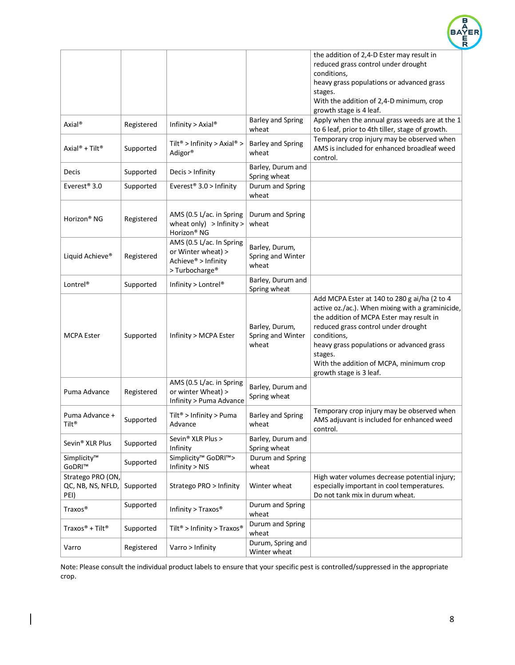

|                                        |            |                                                     |                          | the addition of 2,4-D Ester may result in                                                        |
|----------------------------------------|------------|-----------------------------------------------------|--------------------------|--------------------------------------------------------------------------------------------------|
|                                        |            |                                                     |                          | reduced grass control under drought                                                              |
|                                        |            |                                                     |                          | conditions,                                                                                      |
|                                        |            |                                                     |                          | heavy grass populations or advanced grass                                                        |
|                                        |            |                                                     |                          | stages.                                                                                          |
|                                        |            |                                                     |                          | With the addition of 2,4-D minimum, crop                                                         |
|                                        |            |                                                     |                          | growth stage is 4 leaf.                                                                          |
| Axial <sup>®</sup>                     | Registered | Infinity > Axial®                                   | <b>Barley and Spring</b> | Apply when the annual grass weeds are at the 1                                                   |
|                                        |            |                                                     | wheat                    | to 6 leaf, prior to 4th tiller, stage of growth.                                                 |
|                                        |            | Tilt <sup>®</sup> > Infinity > Axial <sup>®</sup> > | <b>Barley and Spring</b> | Temporary crop injury may be observed when                                                       |
| Axial <sup>®</sup> + Tilt <sup>®</sup> | Supported  | Adigor®                                             | wheat                    | AMS is included for enhanced broadleaf weed                                                      |
|                                        |            |                                                     |                          | control.                                                                                         |
| Decis                                  | Supported  | Decis > Infinity                                    | Barley, Durum and        |                                                                                                  |
|                                        |            |                                                     | Spring wheat             |                                                                                                  |
| Everest <sup>®</sup> 3.0               | Supported  | Everest <sup>®</sup> 3.0 > Infinity                 | Durum and Spring         |                                                                                                  |
|                                        |            |                                                     | wheat                    |                                                                                                  |
|                                        |            |                                                     |                          |                                                                                                  |
| Horizon <sup>®</sup> NG                | Registered | AMS (0.5 L/ac. in Spring                            | Durum and Spring         |                                                                                                  |
|                                        |            | wheat only) $>$ Infinity $>$                        | wheat                    |                                                                                                  |
|                                        |            | Horizon <sup>®</sup> NG                             |                          |                                                                                                  |
|                                        |            | AMS (0.5 L/ac. In Spring                            | Barley, Durum,           |                                                                                                  |
| Liquid Achieve®                        | Registered | or Winter wheat) >                                  | Spring and Winter        |                                                                                                  |
|                                        |            | Achieve® > Infinity                                 | wheat                    |                                                                                                  |
|                                        |            | > Turbocharge <sup>®</sup>                          |                          |                                                                                                  |
| Lontrel <sup>®</sup>                   | Supported  | Infinity > Lontrel®                                 | Barley, Durum and        |                                                                                                  |
|                                        |            |                                                     | Spring wheat             |                                                                                                  |
|                                        |            |                                                     |                          | Add MCPA Ester at 140 to 280 g ai/ha (2 to 4<br>active oz./ac.). When mixing with a graminicide, |
|                                        |            |                                                     |                          | the addition of MCPA Ester may result in                                                         |
|                                        |            |                                                     | Barley, Durum,           | reduced grass control under drought                                                              |
| <b>MCPA Ester</b>                      | Supported  | Infinity > MCPA Ester                               | Spring and Winter        | conditions,                                                                                      |
|                                        |            |                                                     | wheat                    | heavy grass populations or advanced grass                                                        |
|                                        |            |                                                     |                          | stages.                                                                                          |
|                                        |            |                                                     |                          | With the addition of MCPA, minimum crop                                                          |
|                                        |            |                                                     |                          | growth stage is 3 leaf.                                                                          |
|                                        |            | AMS (0.5 L/ac. in Spring                            |                          |                                                                                                  |
| Puma Advance                           | Registered | or winter Wheat) >                                  | Barley, Durum and        |                                                                                                  |
|                                        |            | Infinity > Puma Advance                             | Spring wheat             |                                                                                                  |
|                                        |            |                                                     |                          | Temporary crop injury may be observed when                                                       |
| Puma Advance +                         | Supported  | Tilt <sup>®</sup> > Infinity > Puma                 | <b>Barley and Spring</b> | AMS adjuvant is included for enhanced weed                                                       |
| Tilt®                                  |            | Advance                                             | wheat                    | control.                                                                                         |
|                                        |            | Sevin® XLR Plus >                                   | Barley, Durum and        |                                                                                                  |
| Sevin <sup>®</sup> XLR Plus            | Supported  | Infinity                                            | Spring wheat             |                                                                                                  |
| Simplicity™                            |            | Simplicity <sup>™</sup> GoDRI <sup>™</sup> >        | Durum and Spring         |                                                                                                  |
| GoDRI™                                 | Supported  | Infinity > NIS                                      | wheat                    |                                                                                                  |
| Stratego PRO (ON,                      |            |                                                     |                          | High water volumes decrease potential injury;                                                    |
| QC, NB, NS, NFLD,                      | Supported  | Stratego PRO > Infinity                             | Winter wheat             | especially important in cool temperatures.                                                       |
| PEI)                                   |            |                                                     |                          | Do not tank mix in durum wheat.                                                                  |
| Traxos <sup>®</sup>                    | Supported  | Infinity > $Traxos$ <sup>®</sup>                    | Durum and Spring         |                                                                                                  |
|                                        |            |                                                     | wheat                    |                                                                                                  |
| Traxos® + Tilt®                        | Supported  | Tilt <sup>®</sup> > Infinity > Traxos <sup>®</sup>  | Durum and Spring         |                                                                                                  |
|                                        |            |                                                     | wheat                    |                                                                                                  |
| Varro                                  | Registered | Varro > Infinity                                    | Durum, Spring and        |                                                                                                  |
|                                        |            |                                                     | Winter wheat             |                                                                                                  |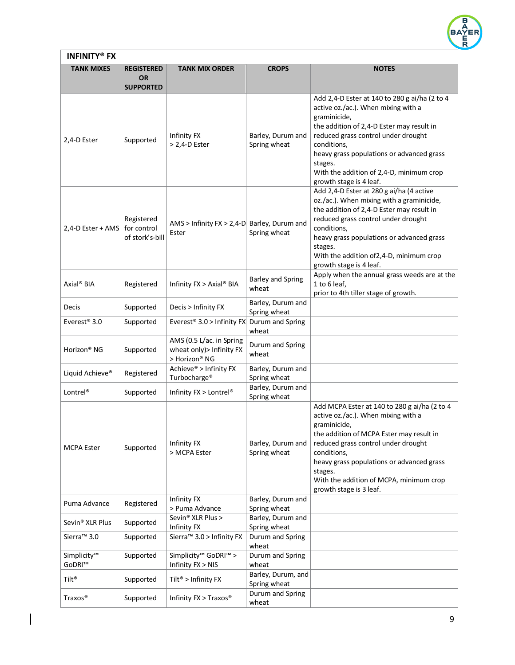

| <b>INFINITY® FX</b>         |                                                    |                                                                        |                                    |                                                                                                                                                                                                                                                                                                                                        |  |
|-----------------------------|----------------------------------------------------|------------------------------------------------------------------------|------------------------------------|----------------------------------------------------------------------------------------------------------------------------------------------------------------------------------------------------------------------------------------------------------------------------------------------------------------------------------------|--|
| <b>TANK MIXES</b>           | <b>REGISTERED</b><br><b>OR</b><br><b>SUPPORTED</b> | <b>TANK MIX ORDER</b>                                                  | <b>CROPS</b>                       | <b>NOTES</b>                                                                                                                                                                                                                                                                                                                           |  |
| 2,4-D Ester                 | Supported                                          | Infinity FX<br>> 2,4-D Ester                                           | Barley, Durum and<br>Spring wheat  | Add 2,4-D Ester at 140 to 280 g ai/ha (2 to 4<br>active oz./ac.). When mixing with a<br>graminicide,<br>the addition of 2,4-D Ester may result in<br>reduced grass control under drought<br>conditions,<br>heavy grass populations or advanced grass<br>stages.<br>With the addition of 2,4-D, minimum crop<br>growth stage is 4 leaf. |  |
| 2,4-D Ester + AMS           | Registered<br>for control<br>of stork's-bill       | AMS > Infinity $FX > 2,4-D$ Barley, Durum and<br>Ester                 | Spring wheat                       | Add 2,4-D Ester at 280 g ai/ha (4 active<br>oz./ac.). When mixing with a graminicide,<br>the addition of 2,4-D Ester may result in<br>reduced grass control under drought<br>conditions,<br>heavy grass populations or advanced grass<br>stages.<br>With the addition of 2, 4-D, minimum crop<br>growth stage is 4 leaf.               |  |
| Axial <sup>®</sup> BIA      | Registered                                         | Infinity FX > Axial® BIA                                               | <b>Barley and Spring</b><br>wheat  | Apply when the annual grass weeds are at the<br>1 to 6 leaf,<br>prior to 4th tiller stage of growth.                                                                                                                                                                                                                                   |  |
| Decis                       | Supported                                          | Decis > Infinity FX                                                    | Barley, Durum and<br>Spring wheat  |                                                                                                                                                                                                                                                                                                                                        |  |
| Everest <sup>®</sup> 3.0    | Supported                                          | Everest <sup>®</sup> 3.0 > Infinity FX Durum and Spring                | wheat                              |                                                                                                                                                                                                                                                                                                                                        |  |
| Horizon <sup>®</sup> NG     | Supported                                          | AMS (0.5 L/ac. in Spring<br>wheat only) > Infinity FX<br>> Horizon® NG | Durum and Spring<br>wheat          |                                                                                                                                                                                                                                                                                                                                        |  |
| Liquid Achieve®             | Registered                                         | Achieve® > Infinity FX<br>Turbocharge <sup>®</sup>                     | Barley, Durum and<br>Spring wheat  |                                                                                                                                                                                                                                                                                                                                        |  |
| Lontrel <sup>®</sup>        | Supported                                          | Infinity FX > Lontrel®                                                 | Barley, Durum and<br>Spring wheat  |                                                                                                                                                                                                                                                                                                                                        |  |
| <b>MCPA Ester</b>           | Supported                                          | Infinity FX<br>> MCPA Ester                                            | Barley, Durum and<br>Spring wheat  | Add MCPA Ester at 140 to 280 g ai/ha (2 to 4<br>active oz./ac.). When mixing with a<br>graminicide.<br>the addition of MCPA Ester may result in<br>reduced grass control under drought<br>conditions,<br>heavy grass populations or advanced grass<br>stages.<br>With the addition of MCPA, minimum crop<br>growth stage is 3 leaf.    |  |
| Puma Advance                | Registered                                         | Infinity FX<br>> Puma Advance                                          | Barley, Durum and<br>Spring wheat  |                                                                                                                                                                                                                                                                                                                                        |  |
| Sevin <sup>®</sup> XLR Plus | Supported                                          | Sevin® XLR Plus ><br>Infinity FX                                       | Barley, Durum and<br>Spring wheat  |                                                                                                                                                                                                                                                                                                                                        |  |
| Sierra <sup>™</sup> 3.0     | Supported                                          | Sierra <sup>™</sup> 3.0 > Infinity FX                                  | Durum and Spring<br>wheat          |                                                                                                                                                                                                                                                                                                                                        |  |
| Simplicity™<br>GoDRI™       | Supported                                          | Simplicity <sup>™</sup> GoDRI <sup>™</sup> ><br>Infinity FX > NIS      | Durum and Spring<br>wheat          |                                                                                                                                                                                                                                                                                                                                        |  |
| Tilt®                       | Supported                                          | Tilt <sup>®</sup> > Infinity FX                                        | Barley, Durum, and<br>Spring wheat |                                                                                                                                                                                                                                                                                                                                        |  |
| Traxos <sup>®</sup>         | Supported                                          | Infinity FX > Traxos®                                                  | Durum and Spring<br>wheat          |                                                                                                                                                                                                                                                                                                                                        |  |

 $\begin{array}{|c|c|} \hline \rule{0pt}{12pt} \rule{0pt}{2.5pt} \rule{0pt}{2.5pt} \rule{0pt}{2.5pt} \rule{0pt}{2.5pt} \rule{0pt}{2.5pt} \rule{0pt}{2.5pt} \rule{0pt}{2.5pt} \rule{0pt}{2.5pt} \rule{0pt}{2.5pt} \rule{0pt}{2.5pt} \rule{0pt}{2.5pt} \rule{0pt}{2.5pt} \rule{0pt}{2.5pt} \rule{0pt}{2.5pt} \rule{0pt}{2.5pt} \rule{0pt}{2.5pt} \rule{0pt}{2.5pt} \rule{0pt}{2.5$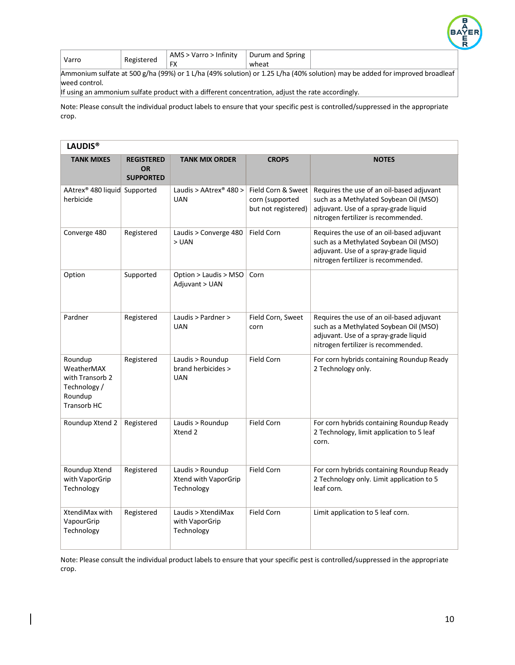

| Varro | Registered    | .<br>Varro<br>Infinity<br>∸AM๖. | spring<br>Durum and |  |
|-------|---------------|---------------------------------|---------------------|--|
|       | $\sim$<br>ïΛ. | wheat                           |                     |  |

Ammonium sulfate at 500 g/ha (99%) or 1 L/ha (49% solution) or 1.25 L/ha (40% solution) may be added for improved broadleaf weed control.

If using an ammonium sulfate product with a different concentration, adjust the rate accordingly.

Note: Please consult the individual product labels to ensure that your specific pest is controlled/suppressed in the appropriate crop.

| <b>LAUDIS®</b>                                                                     |                                                    |                                                        |                                                              |                                                                                                                                                                     |  |  |
|------------------------------------------------------------------------------------|----------------------------------------------------|--------------------------------------------------------|--------------------------------------------------------------|---------------------------------------------------------------------------------------------------------------------------------------------------------------------|--|--|
| <b>TANK MIXES</b>                                                                  | <b>REGISTERED</b><br><b>OR</b><br><b>SUPPORTED</b> | <b>TANK MIX ORDER</b>                                  | <b>CROPS</b>                                                 | <b>NOTES</b>                                                                                                                                                        |  |  |
| AAtrex <sup>®</sup> 480 liquid Supported<br>herbicide                              |                                                    | Laudis > AAtrex <sup>®</sup> 480 ><br><b>UAN</b>       | Field Corn & Sweet<br>corn (supported<br>but not registered) | Requires the use of an oil-based adjuvant<br>such as a Methylated Soybean Oil (MSO)<br>adjuvant. Use of a spray-grade liquid<br>nitrogen fertilizer is recommended. |  |  |
| Converge 480                                                                       | Registered                                         | Laudis > Converge 480<br>> UAN                         | Field Corn                                                   | Requires the use of an oil-based adjuvant<br>such as a Methylated Soybean Oil (MSO)<br>adjuvant. Use of a spray-grade liquid<br>nitrogen fertilizer is recommended. |  |  |
| Option                                                                             | Supported                                          | Option > Laudis > MSO<br>Adjuvant > UAN                | Corn                                                         |                                                                                                                                                                     |  |  |
| Pardner                                                                            | Registered                                         | Laudis > Pardner ><br><b>UAN</b>                       | Field Corn, Sweet<br>corn                                    | Requires the use of an oil-based adjuvant<br>such as a Methylated Soybean Oil (MSO)<br>adjuvant. Use of a spray-grade liquid<br>nitrogen fertilizer is recommended. |  |  |
| Roundup<br>WeatherMAX<br>with Transorb 2<br>Technology /<br>Roundup<br>Transorb HC | Registered                                         | Laudis > Roundup<br>brand herbicides ><br><b>UAN</b>   | Field Corn                                                   | For corn hybrids containing Roundup Ready<br>2 Technology only.                                                                                                     |  |  |
| Roundup Xtend 2                                                                    | Registered                                         | Laudis > Roundup<br>Xtend 2                            | Field Corn                                                   | For corn hybrids containing Roundup Ready<br>2 Technology, limit application to 5 leaf<br>corn.                                                                     |  |  |
| Roundup Xtend<br>with VaporGrip<br>Technology                                      | Registered                                         | Laudis > Roundup<br>Xtend with VaporGrip<br>Technology | Field Corn                                                   | For corn hybrids containing Roundup Ready<br>2 Technology only. Limit application to 5<br>leaf corn.                                                                |  |  |
| XtendiMax with<br>VapourGrip<br>Technology                                         | Registered                                         | Laudis > XtendiMax<br>with VaporGrip<br>Technology     | Field Corn                                                   | Limit application to 5 leaf corn.                                                                                                                                   |  |  |

Note: Please consult the individual product labels to ensure that your specific pest is controlled/suppressed in the appropriate crop.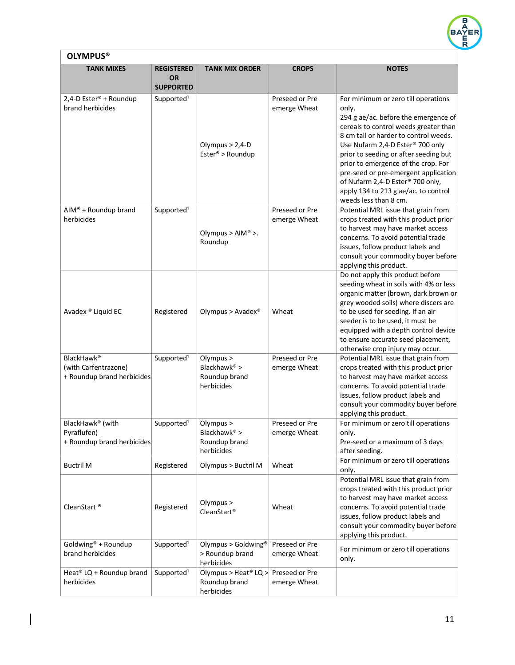

# **OLYMPUS®**

 $\overline{\phantom{a}}$ 

| <b>TANK MIXES</b>                                                            | <b>REGISTERED</b><br><b>OR</b><br><b>SUPPORTED</b> | <b>TANK MIX ORDER</b>                                           | <b>CROPS</b>                   | <b>NOTES</b>                                                                                                                                                                                                                                                                                                                                                                                                                                                    |
|------------------------------------------------------------------------------|----------------------------------------------------|-----------------------------------------------------------------|--------------------------------|-----------------------------------------------------------------------------------------------------------------------------------------------------------------------------------------------------------------------------------------------------------------------------------------------------------------------------------------------------------------------------------------------------------------------------------------------------------------|
| 2,4-D Ester <sup>®</sup> + Roundup<br>brand herbicides                       | Supported <sup>1</sup>                             | Olympus $> 2,4$ -D<br>Ester® > Roundup                          | Preseed or Pre<br>emerge Wheat | For minimum or zero till operations<br>only.<br>294 g ae/ac. before the emergence of<br>cereals to control weeds greater than<br>8 cm tall or harder to control weeds.<br>Use Nufarm 2,4-D Ester <sup>®</sup> 700 only<br>prior to seeding or after seeding but<br>prior to emergence of the crop. For<br>pre-seed or pre-emergent application<br>of Nufarm 2,4-D Ester <sup>®</sup> 700 only,<br>apply 134 to 213 g ae/ac. to control<br>weeds less than 8 cm. |
| AIM® + Roundup brand<br>herbicides                                           | Supported <sup>1</sup>                             | Olympus > $AIM^@$ >.<br>Roundup                                 | Preseed or Pre<br>emerge Wheat | Potential MRL issue that grain from<br>crops treated with this product prior<br>to harvest may have market access<br>concerns. To avoid potential trade<br>issues, follow product labels and<br>consult your commodity buyer before<br>applying this product.                                                                                                                                                                                                   |
| Avadex ® Liquid EC                                                           | Registered                                         | Olympus > Avadex <sup>®</sup>                                   | Wheat                          | Do not apply this product before<br>seeding wheat in soils with 4% or less<br>organic matter (brown, dark brown or<br>grey wooded soils) where discers are<br>to be used for seeding. If an air<br>seeder is to be used, it must be<br>equipped with a depth control device<br>to ensure accurate seed placement,<br>otherwise crop injury may occur.                                                                                                           |
| BlackHawk <sup>®</sup><br>(with Carfentrazone)<br>+ Roundup brand herbicides | Supported <sup>1</sup>                             | Olympus ><br>Blackhawk® ><br>Roundup brand<br>herbicides        | Preseed or Pre<br>emerge Wheat | Potential MRL issue that grain from<br>crops treated with this product prior<br>to harvest may have market access<br>concerns. To avoid potential trade<br>issues, follow product labels and<br>consult your commodity buyer before<br>applying this product.                                                                                                                                                                                                   |
| BlackHawk® (with<br>Pyraflufen)<br>+ Roundup brand herbicides                | Supported <sup>1</sup>                             | Olympus ><br>Blackhawk® ><br>Roundup brand<br>herbicides        | Preseed or Pre<br>emerge Wheat | For minimum or zero till operations<br>only.<br>Pre-seed or a maximum of 3 days<br>after seeding.                                                                                                                                                                                                                                                                                                                                                               |
| <b>Buctril M</b>                                                             | Registered                                         | Olympus > Buctril M                                             | Wheat                          | For minimum or zero till operations<br>only.                                                                                                                                                                                                                                                                                                                                                                                                                    |
| CleanStart <sup>®</sup>                                                      | Registered                                         | Olympus ><br>CleanStart <sup>®</sup>                            | Wheat                          | Potential MRL issue that grain from<br>crops treated with this product prior<br>to harvest may have market access<br>concerns. To avoid potential trade<br>issues, follow product labels and<br>consult your commodity buyer before<br>applying this product.                                                                                                                                                                                                   |
| Goldwing® + Roundup<br>brand herbicides                                      | Supported <sup>1</sup>                             | Olympus > Goldwing®<br>> Roundup brand<br>herbicides            | Preseed or Pre<br>emerge Wheat | For minimum or zero till operations<br>only.                                                                                                                                                                                                                                                                                                                                                                                                                    |
| Heat <sup>®</sup> LQ + Roundup brand<br>herbicides                           | Supported <sup>1</sup>                             | Olympus > Heat <sup>®</sup> LQ ><br>Roundup brand<br>herbicides | Preseed or Pre<br>emerge Wheat |                                                                                                                                                                                                                                                                                                                                                                                                                                                                 |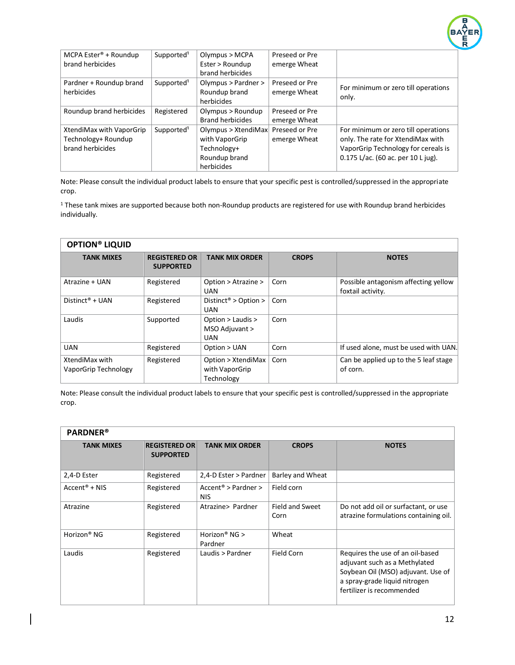

| MCPA Ester <sup>®</sup> + Roundup | Supported <sup>1</sup> | Olympus > MCPA          | Preseed or Pre |                                     |
|-----------------------------------|------------------------|-------------------------|----------------|-------------------------------------|
| brand herbicides                  |                        | Ester > Roundup         | emerge Wheat   |                                     |
|                                   |                        | brand herbicides        |                |                                     |
| Pardner + Roundup brand           | Supported <sup>1</sup> | Olympus > Pardner >     | Preseed or Pre | For minimum or zero till operations |
| herbicides                        |                        | Roundup brand           | emerge Wheat   |                                     |
|                                   |                        | herbicides              |                | only.                               |
| Roundup brand herbicides          | Registered             | Olympus > Roundup       | Preseed or Pre |                                     |
|                                   |                        | <b>Brand herbicides</b> | emerge Wheat   |                                     |
| XtendiMax with VaporGrip          | Supported <sup>1</sup> | Olympus > XtendiMax     | Preseed or Pre | For minimum or zero till operations |
| Technology+ Roundup               |                        | with VaporGrip          | emerge Wheat   | only. The rate for XtendiMax with   |
| brand herbicides                  |                        | Technology+             |                | VaporGrip Technology for cereals is |
|                                   |                        | Roundup brand           |                | 0.175 L/ac. (60 ac. per 10 L jug).  |
|                                   |                        | herbicides              |                |                                     |

<sup>1</sup> These tank mixes are supported because both non-Roundup products are registered for use with Roundup brand herbicides individually.

| <b>OPTION® LIQUID</b>                  |                                          |                                                    |              |                                                           |  |
|----------------------------------------|------------------------------------------|----------------------------------------------------|--------------|-----------------------------------------------------------|--|
| <b>TANK MIXES</b>                      | <b>REGISTERED OR</b><br><b>SUPPORTED</b> | <b>TANK MIX ORDER</b>                              | <b>CROPS</b> | <b>NOTES</b>                                              |  |
| Atrazine + UAN                         | Registered                               | Option > Atrazine ><br>UAN                         | Corn         | Possible antagonism affecting yellow<br>foxtail activity. |  |
| Distinct <sup>®</sup> + UAN            | Registered                               | Distinct <sup>®</sup> > Option ><br><b>UAN</b>     | Corn         |                                                           |  |
| Laudis                                 | Supported                                | Option > Laudis ><br>MSO Adjuvant ><br><b>UAN</b>  | Corn         |                                                           |  |
| <b>UAN</b>                             | Registered                               | Option > UAN                                       | Corn         | If used alone, must be used with UAN.                     |  |
| XtendiMax with<br>VaporGrip Technology | Registered                               | Option > XtendiMax<br>with VaporGrip<br>Technology | Corn         | Can be applied up to the 5 leaf stage<br>of corn.         |  |

Note: Please consult the individual product labels to ensure that your specific pest is controlled/suppressed in the appropriate crop.

| <b>PARDNER®</b>         |                                          |                                        |                         |                                                                                                                                                                       |  |
|-------------------------|------------------------------------------|----------------------------------------|-------------------------|-----------------------------------------------------------------------------------------------------------------------------------------------------------------------|--|
| <b>TANK MIXES</b>       | <b>REGISTERED OR</b><br><b>SUPPORTED</b> | <b>TANK MIX ORDER</b>                  | <b>CROPS</b>            | <b>NOTES</b>                                                                                                                                                          |  |
| 2,4-D Ester             | Registered                               | 2,4-D Ester > Pardner                  | Barley and Wheat        |                                                                                                                                                                       |  |
| $Accent® + NIS$         | Registered                               | $Accent^*$ > Pardner ><br><b>NIS</b>   | Field corn              |                                                                                                                                                                       |  |
| Atrazine                | Registered                               | Atrazine> Pardner                      | Field and Sweet<br>Corn | Do not add oil or surfactant, or use<br>atrazine formulations containing oil.                                                                                         |  |
| Horizon <sup>®</sup> NG | Registered                               | Horizon <sup>®</sup> NG $>$<br>Pardner | Wheat                   |                                                                                                                                                                       |  |
| Laudis                  | Registered                               | Laudis > Pardner                       | Field Corn              | Requires the use of an oil-based<br>adjuvant such as a Methylated<br>Soybean Oil (MSO) adjuvant. Use of<br>a spray-grade liquid nitrogen<br>fertilizer is recommended |  |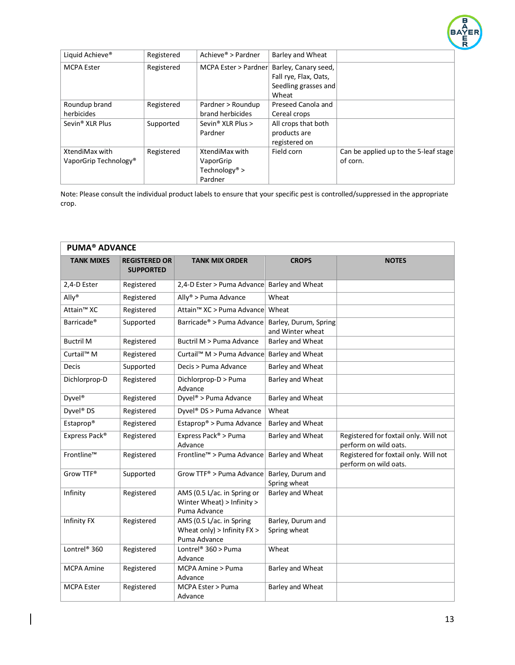

| Liquid Achieve <sup>®</sup>       | Registered | Achieve® > Pardner            | Barley and Wheat      |                                       |
|-----------------------------------|------------|-------------------------------|-----------------------|---------------------------------------|
| <b>MCPA Ester</b>                 | Registered | MCPA Ester > Pardner          | Barley, Canary seed,  |                                       |
|                                   |            |                               | Fall rye, Flax, Oats, |                                       |
|                                   |            |                               | Seedling grasses and  |                                       |
|                                   |            |                               | Wheat                 |                                       |
| Roundup brand                     | Registered | Pardner > Roundup             | Preseed Canola and    |                                       |
| herbicides                        |            | brand herbicides              | Cereal crops          |                                       |
| Sevin <sup>®</sup> XLR Plus       | Supported  | Sevin <sup>®</sup> XLR Plus > | All crops that both   |                                       |
|                                   |            | Pardner                       | products are          |                                       |
|                                   |            |                               | registered on         |                                       |
| XtendiMax with                    | Registered | XtendiMax with                | Field corn            | Can be applied up to the 5-leaf stage |
| VaporGrip Technology <sup>®</sup> |            | VaporGrip                     |                       | of corn.                              |
|                                   |            | Technology <sup>®</sup> >     |                       |                                       |
|                                   |            | Pardner                       |                       |                                       |

| <b>PUMA<sup>®</sup> ADVANCE</b> |                                          |                                                                           |                                           |                                                                |  |  |
|---------------------------------|------------------------------------------|---------------------------------------------------------------------------|-------------------------------------------|----------------------------------------------------------------|--|--|
| <b>TANK MIXES</b>               | <b>REGISTERED OR</b><br><b>SUPPORTED</b> | <b>TANK MIX ORDER</b>                                                     | <b>CROPS</b>                              | <b>NOTES</b>                                                   |  |  |
| 2,4-D Ester                     | Registered                               | 2,4-D Ester > Puma Advance Barley and Wheat                               |                                           |                                                                |  |  |
| Ally <sup>®</sup>               | Registered                               | Ally <sup>®</sup> > Puma Advance                                          | Wheat                                     |                                                                |  |  |
| Attain <sup>™</sup> XC          | Registered                               | Attain <sup>™</sup> XC > Puma Advance                                     | Wheat                                     |                                                                |  |  |
| Barricade <sup>®</sup>          | Supported                                | Barricade® > Puma Advance                                                 | Barley, Durum, Spring<br>and Winter wheat |                                                                |  |  |
| <b>Buctril M</b>                | Registered                               | Buctril M > Puma Advance                                                  | <b>Barley and Wheat</b>                   |                                                                |  |  |
| Curtail <sup>™</sup> M          | Registered                               | Curtail <sup>™</sup> M > Puma Advance                                     | Barley and Wheat                          |                                                                |  |  |
| <b>Decis</b>                    | Supported                                | Decis > Puma Advance                                                      | Barley and Wheat                          |                                                                |  |  |
| Dichlorprop-D                   | Registered                               | Dichlorprop-D > Puma<br>Advance                                           | Barley and Wheat                          |                                                                |  |  |
| Dyvel <sup>®</sup>              | Registered                               | Dyvel <sup>®</sup> > Puma Advance                                         | Barley and Wheat                          |                                                                |  |  |
| Dyvel <sup>®</sup> DS           | Registered                               | Dyvel® DS > Puma Advance                                                  | Wheat                                     |                                                                |  |  |
| Estaprop®                       | Registered                               | Estaprop® > Puma Advance                                                  | Barley and Wheat                          |                                                                |  |  |
| Express Pack®                   | Registered                               | Express Pack® > Puma<br>Advance                                           | Barley and Wheat                          | Registered for foxtail only. Will not<br>perform on wild oats. |  |  |
| Frontline™                      | Registered                               | Frontline™ > Puma Advance                                                 | <b>Barley and Wheat</b>                   | Registered for foxtail only. Will not<br>perform on wild oats. |  |  |
| Grow TTF®                       | Supported                                | Grow $TTF^*$ > Puma Advance                                               | Barley, Durum and<br>Spring wheat         |                                                                |  |  |
| Infinity                        | Registered                               | AMS (0.5 L/ac. in Spring or<br>Winter Wheat) > Infinity ><br>Puma Advance | Barley and Wheat                          |                                                                |  |  |
| Infinity FX                     | Registered                               | AMS (0.5 L/ac. in Spring<br>Wheat only) > Infinity $FX$ ><br>Puma Advance | Barley, Durum and<br>Spring wheat         |                                                                |  |  |
| Lontrel <sup>®</sup> 360        | Registered                               | Lontrel® $360$ > Puma<br>Advance                                          | Wheat                                     |                                                                |  |  |
| <b>MCPA Amine</b>               | Registered                               | MCPA Amine > Puma<br>Advance                                              | Barley and Wheat                          |                                                                |  |  |
| <b>MCPA Ester</b>               | Registered                               | MCPA Ester > Puma<br>Advance                                              | Barley and Wheat                          |                                                                |  |  |

 $\begin{array}{c} \hline \end{array}$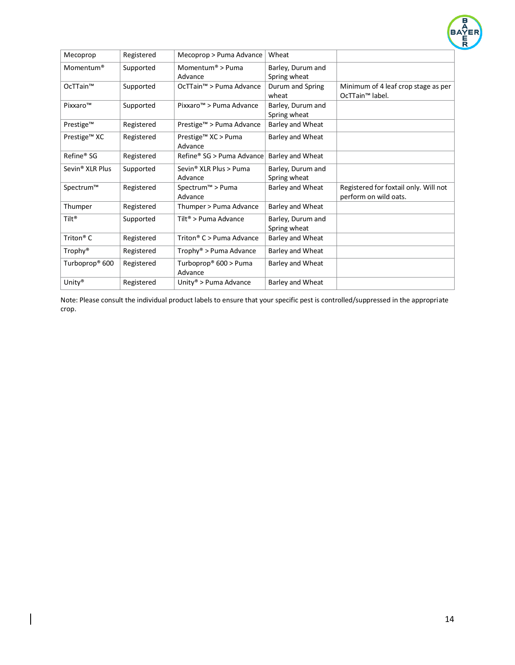

| Mecoprop                    | Registered | Mecoprop > Puma Advance                 | Wheat                             |                                                                    |
|-----------------------------|------------|-----------------------------------------|-----------------------------------|--------------------------------------------------------------------|
| Momentum <sup>®</sup>       | Supported  | Momentum <sup>®</sup> > Puma<br>Advance | Barley, Durum and<br>Spring wheat |                                                                    |
| OcTTain™                    | Supported  | OcTTain <sup>™</sup> > Puma Advance     | Durum and Spring<br>wheat         | Minimum of 4 leaf crop stage as per<br>OcTTain <sup>™</sup> label. |
| Pixxaro™                    | Supported  | Pixxaro™ > Puma Advance                 | Barley, Durum and<br>Spring wheat |                                                                    |
| Prestige™                   | Registered | Prestige™ > Puma Advance                | Barley and Wheat                  |                                                                    |
| Prestige™ XC                | Registered | Prestige™ XC > Puma<br>Advance          | Barley and Wheat                  |                                                                    |
| Refine <sup>®</sup> SG      | Registered | Refine® SG > Puma Advance               | <b>Barley and Wheat</b>           |                                                                    |
| Sevin <sup>®</sup> XLR Plus | Supported  | Sevin® XLR Plus > Puma<br>Advance       | Barley, Durum and<br>Spring wheat |                                                                    |
| Spectrum™                   | Registered | Spectrum <sup>™</sup> > Puma<br>Advance | Barley and Wheat                  | Registered for foxtail only. Will not<br>perform on wild oats.     |
| Thumper                     | Registered | Thumper > Puma Advance                  | <b>Barley and Wheat</b>           |                                                                    |
| Tilt <sup>®</sup>           | Supported  | Tilt <sup>®</sup> > Puma Advance        | Barley, Durum and<br>Spring wheat |                                                                    |
| Triton <sup>®</sup> $C$     | Registered | Triton <sup>®</sup> C > Puma Advance    | Barley and Wheat                  |                                                                    |
| Trophy <sup>®</sup>         | Registered | Trophy® > Puma Advance                  | Barley and Wheat                  |                                                                    |
| Turboprop® 600              | Registered | Turboprop® 600 > Puma<br>Advance        | Barley and Wheat                  |                                                                    |
| Unity®                      | Registered | Unity <sup>®</sup> > Puma Advance       | Barley and Wheat                  |                                                                    |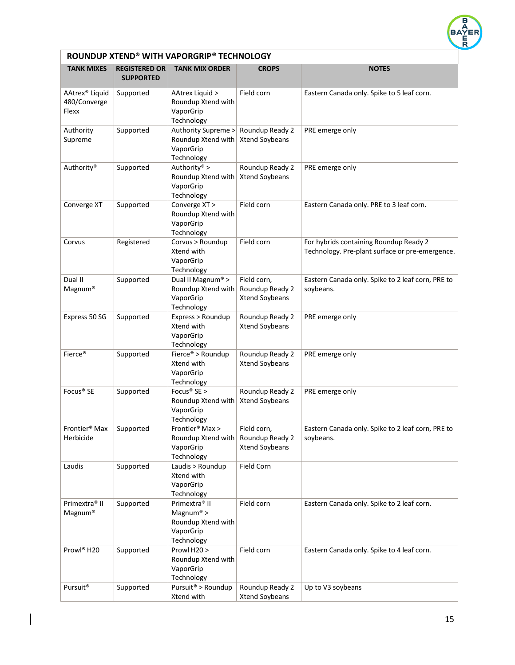

| ROUNDUP XTEND® WITH VAPORGRIP® TECHNOLOGY           |                                          |                                                                                         |                                                  |                                                                                           |  |  |
|-----------------------------------------------------|------------------------------------------|-----------------------------------------------------------------------------------------|--------------------------------------------------|-------------------------------------------------------------------------------------------|--|--|
| <b>TANK MIXES</b>                                   | <b>REGISTERED OR</b><br><b>SUPPORTED</b> | <b>TANK MIX ORDER</b>                                                                   | <b>CROPS</b>                                     | <b>NOTES</b>                                                                              |  |  |
| AAtrex <sup>®</sup> Liquid<br>480/Converge<br>Flexx | Supported                                | AAtrex Liquid ><br>Roundup Xtend with<br>VaporGrip<br>Technology                        | Field corn                                       | Eastern Canada only. Spike to 5 leaf corn.                                                |  |  |
| Authority<br>Supreme                                | Supported                                | Authority Supreme ><br>Roundup Xtend with<br>VaporGrip<br>Technology                    | Roundup Ready 2<br>Xtend Soybeans                | PRE emerge only                                                                           |  |  |
| Authority®                                          | Supported                                | Authority® ><br>Roundup Xtend with<br>VaporGrip<br>Technology                           | Roundup Ready 2<br>Xtend Soybeans                | PRE emerge only                                                                           |  |  |
| Converge XT                                         | Supported                                | Converge XT ><br>Roundup Xtend with<br>VaporGrip<br>Technology                          | Field corn                                       | Eastern Canada only. PRE to 3 leaf corn.                                                  |  |  |
| Corvus                                              | Registered                               | Corvus > Roundup<br>Xtend with<br>VaporGrip<br>Technology                               | Field corn                                       | For hybrids containing Roundup Ready 2<br>Technology. Pre-plant surface or pre-emergence. |  |  |
| Dual II<br>Magnum®                                  | Supported                                | Dual II Magnum® ><br>Roundup Xtend with<br>VaporGrip<br>Technology                      | Field corn,<br>Roundup Ready 2<br>Xtend Soybeans | Eastern Canada only. Spike to 2 leaf corn, PRE to<br>soybeans.                            |  |  |
| Express 50 SG                                       | Supported                                | Express > Roundup<br>Xtend with<br>VaporGrip<br>Technology                              | Roundup Ready 2<br>Xtend Soybeans                | PRE emerge only                                                                           |  |  |
| Fierce <sup>®</sup>                                 | Supported                                | Fierce® > Roundup<br>Xtend with<br>VaporGrip<br>Technology                              | Roundup Ready 2<br>Xtend Soybeans                | PRE emerge only                                                                           |  |  |
| Focus <sup>®</sup> SE                               | Supported                                | Focus <sup>®</sup> SE ><br>Roundup Xtend with<br>VaporGrip<br>Technology                | Roundup Ready 2<br>Xtend Soybeans                | PRE emerge only                                                                           |  |  |
| Frontier <sup>®</sup> Max<br>Herbicide              | Supported                                | Frontier <sup>®</sup> Max ><br>Roundup Xtend with<br>VaporGrip<br>Technology            | Field corn,<br>Roundup Ready 2<br>Xtend Soybeans | Eastern Canada only. Spike to 2 leaf corn, PRE to<br>soybeans.                            |  |  |
| Laudis                                              | Supported                                | Laudis > Roundup<br>Xtend with<br>VaporGrip<br>Technology                               | Field Corn                                       |                                                                                           |  |  |
| Primextra <sup>®</sup> II<br>Magnum®                | Supported                                | Primextra <sup>®</sup> II<br>Magnum® ><br>Roundup Xtend with<br>VaporGrip<br>Technology | Field corn                                       | Eastern Canada only. Spike to 2 leaf corn.                                                |  |  |
| Prowl <sup>®</sup> H20                              | Supported                                | Prowl H20 ><br>Roundup Xtend with<br>VaporGrip<br>Technology                            | Field corn                                       | Eastern Canada only. Spike to 4 leaf corn.                                                |  |  |
| Pursuit <sup>®</sup>                                | Supported                                | Pursuit <sup>®</sup> > Roundup<br>Xtend with                                            | Roundup Ready 2<br>Xtend Soybeans                | Up to V3 soybeans                                                                         |  |  |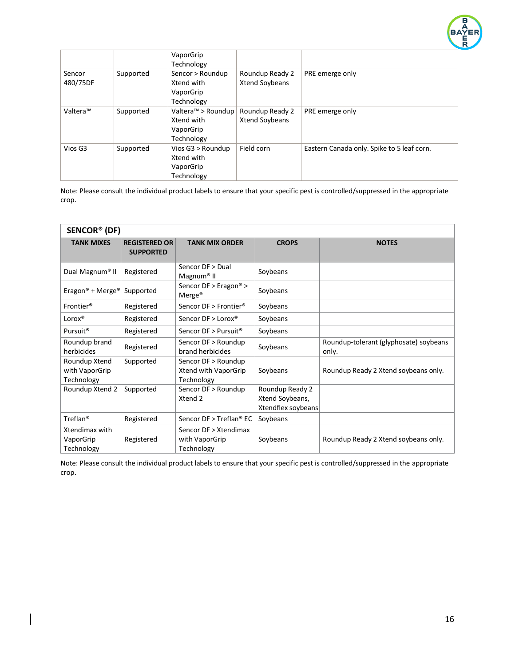

|                    |           | VaporGrip<br>Technology                                     |                                   |                                            |
|--------------------|-----------|-------------------------------------------------------------|-----------------------------------|--------------------------------------------|
| Sencor<br>480/75DF | Supported | Sencor > Roundup<br>Xtend with<br>VaporGrip<br>Technology   | Roundup Ready 2<br>Xtend Soybeans | PRE emerge only                            |
| Valtera™           | Supported | Valtera™ > Roundup<br>Xtend with<br>VaporGrip<br>Technology | Roundup Ready 2<br>Xtend Soybeans | PRE emerge only                            |
| Vios G3            | Supported | Vios G3 > Roundup<br>Xtend with<br>VaporGrip<br>Technology  | Field corn                        | Eastern Canada only. Spike to 5 leaf corn. |

| SENCOR <sup>®</sup> (DF)                      |                                          |                                                           |                                                          |                                                 |  |
|-----------------------------------------------|------------------------------------------|-----------------------------------------------------------|----------------------------------------------------------|-------------------------------------------------|--|
| <b>TANK MIXES</b>                             | <b>REGISTERED OR</b><br><b>SUPPORTED</b> | <b>TANK MIX ORDER</b>                                     | <b>CROPS</b>                                             | <b>NOTES</b>                                    |  |
| Dual Magnum <sup>®</sup> II                   | Registered                               | Sencor DF > Dual<br>Magnum <sup>®</sup> II                | Soybeans                                                 |                                                 |  |
| Eragon <sup>®</sup> + Merge <sup>®</sup>      | Supported                                | Sencor $DF > E$ ragon® ><br>Merge <sup>®</sup>            | Soybeans                                                 |                                                 |  |
| Frontier <sup>®</sup>                         | Registered                               | Sencor DF > Frontier <sup>®</sup>                         | Soybeans                                                 |                                                 |  |
| $Lorox^*$                                     | Registered                               | Sencor DF > Lorox®                                        | Soybeans                                                 |                                                 |  |
| Pursuit <sup>®</sup>                          | Registered                               | Sencor DF > Pursuit <sup>®</sup>                          | Soybeans                                                 |                                                 |  |
| Roundup brand<br>herbicides                   | Registered                               | Sencor DF > Roundup<br>brand herbicides                   | Soybeans                                                 | Roundup-tolerant (glyphosate) soybeans<br>only. |  |
| Roundup Xtend<br>with VaporGrip<br>Technology | Supported                                | Sencor DF > Roundup<br>Xtend with VaporGrip<br>Technology | Soybeans                                                 | Roundup Ready 2 Xtend soybeans only.            |  |
| Roundup Xtend 2                               | Supported                                | Sencor DF > Roundup<br>Xtend 2                            | Roundup Ready 2<br>Xtend Soybeans,<br>Xtendflex soybeans |                                                 |  |
| Treflan <sup>®</sup>                          | Registered                               | Sencor DF > Treflan® EC                                   | Soybeans                                                 |                                                 |  |
| Xtendimax with<br>VaporGrip<br>Technology     | Registered                               | Sencor DF > Xtendimax<br>with VaporGrip<br>Technology     | Soybeans                                                 | Roundup Ready 2 Xtend soybeans only.            |  |

Note: Please consult the individual product labels to ensure that your specific pest is controlled/suppressed in the appropriate crop.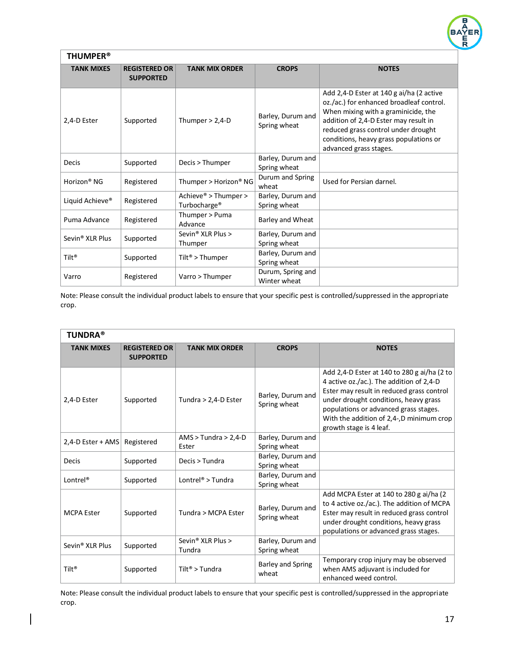

| <b>THUMPER<sup>®</sup></b>  |                                          |                                                              |                                   |                                                                                                                                                                                                                                                                                 |  |
|-----------------------------|------------------------------------------|--------------------------------------------------------------|-----------------------------------|---------------------------------------------------------------------------------------------------------------------------------------------------------------------------------------------------------------------------------------------------------------------------------|--|
| <b>TANK MIXES</b>           | <b>REGISTERED OR</b><br><b>SUPPORTED</b> | <b>TANK MIX ORDER</b>                                        | <b>CROPS</b>                      | <b>NOTES</b>                                                                                                                                                                                                                                                                    |  |
| 2,4-D Ester                 | Supported                                | Thumper $> 2,4$ -D                                           | Barley, Durum and<br>Spring wheat | Add 2,4-D Ester at 140 g ai/ha (2 active<br>oz./ac.) for enhanced broadleaf control.<br>When mixing with a graminicide, the<br>addition of 2,4-D Ester may result in<br>reduced grass control under drought<br>conditions, heavy grass populations or<br>advanced grass stages. |  |
| <b>Decis</b>                | Supported                                | Decis > Thumper                                              | Barley, Durum and<br>Spring wheat |                                                                                                                                                                                                                                                                                 |  |
| Horizon <sup>®</sup> NG     | Registered                               | Thumper > Horizon® NG                                        | Durum and Spring<br>wheat         | Used for Persian darnel.                                                                                                                                                                                                                                                        |  |
| Liquid Achieve <sup>®</sup> | Registered                               | Achieve <sup>®</sup> > Thumper ><br>Turbocharge <sup>®</sup> | Barley, Durum and<br>Spring wheat |                                                                                                                                                                                                                                                                                 |  |
| Puma Advance                | Registered                               | Thumper > Puma<br>Advance                                    | Barley and Wheat                  |                                                                                                                                                                                                                                                                                 |  |
| Sevin <sup>®</sup> XLR Plus | Supported                                | Sevin <sup>®</sup> XLR Plus ><br>Thumper                     | Barley, Durum and<br>Spring wheat |                                                                                                                                                                                                                                                                                 |  |
| Tilt <sup>®</sup>           | Supported                                | Tilt <sup>®</sup> > Thumper                                  | Barley, Durum and<br>Spring wheat |                                                                                                                                                                                                                                                                                 |  |
| Varro                       | Registered                               | Varro > Thumper                                              | Durum, Spring and<br>Winter wheat |                                                                                                                                                                                                                                                                                 |  |

| <b>TUNDRA®</b>              |                                          |                                         |                                   |                                                                                                                                                                                                                                                                                               |  |
|-----------------------------|------------------------------------------|-----------------------------------------|-----------------------------------|-----------------------------------------------------------------------------------------------------------------------------------------------------------------------------------------------------------------------------------------------------------------------------------------------|--|
| <b>TANK MIXES</b>           | <b>REGISTERED OR</b><br><b>SUPPORTED</b> | <b>TANK MIX ORDER</b>                   | <b>CROPS</b>                      | <b>NOTES</b>                                                                                                                                                                                                                                                                                  |  |
| 2,4-D Ester                 | Supported                                | Tundra > 2,4-D Ester                    | Barley, Durum and<br>Spring wheat | Add 2,4-D Ester at 140 to 280 g ai/ha (2 to<br>4 active oz./ac.). The addition of 2,4-D<br>Ester may result in reduced grass control<br>under drought conditions, heavy grass<br>populations or advanced grass stages.<br>With the addition of 2,4-,D minimum crop<br>growth stage is 4 leaf. |  |
| $2,4$ -D Ester + AMS        | Registered                               | $AMS > Tundra > 2,4-D$<br>Ester         | Barley, Durum and<br>Spring wheat |                                                                                                                                                                                                                                                                                               |  |
| <b>Decis</b>                | Supported                                | Decis > Tundra                          | Barley, Durum and<br>Spring wheat |                                                                                                                                                                                                                                                                                               |  |
| Lontrel <sup>®</sup>        | Supported                                | Lontrel <sup>®</sup> > Tundra           | Barley, Durum and<br>Spring wheat |                                                                                                                                                                                                                                                                                               |  |
| <b>MCPA Ester</b>           | Supported                                | Tundra > MCPA Ester                     | Barley, Durum and<br>Spring wheat | Add MCPA Ester at 140 to 280 g ai/ha (2)<br>to 4 active oz./ac.). The addition of MCPA<br>Ester may result in reduced grass control<br>under drought conditions, heavy grass<br>populations or advanced grass stages.                                                                         |  |
| Sevin <sup>®</sup> XLR Plus | Supported                                | Sevin <sup>®</sup> XLR Plus ><br>Tundra | Barley, Durum and<br>Spring wheat |                                                                                                                                                                                                                                                                                               |  |
| $Tilt^*$                    | Supported                                | Tilt <sup>®</sup> > Tundra              | <b>Barley and Spring</b><br>wheat | Temporary crop injury may be observed<br>when AMS adjuvant is included for<br>enhanced weed control.                                                                                                                                                                                          |  |

Note: Please consult the individual product labels to ensure that your specific pest is controlled/suppressed in the appropriate crop.

 $\overline{\phantom{a}}$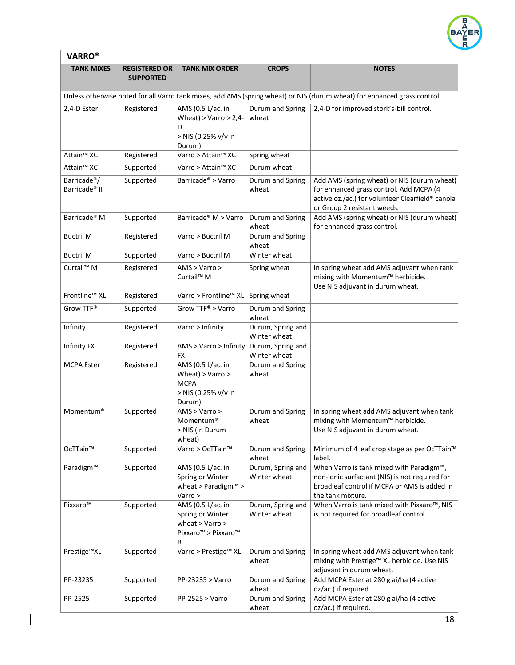

| <b>VARRO®</b>                                         |                                          |                                                                                                      |                                   |                                                                                                                                                                           |  |
|-------------------------------------------------------|------------------------------------------|------------------------------------------------------------------------------------------------------|-----------------------------------|---------------------------------------------------------------------------------------------------------------------------------------------------------------------------|--|
| <b>TANK MIXES</b>                                     | <b>REGISTERED OR</b><br><b>SUPPORTED</b> | <b>TANK MIX ORDER</b>                                                                                | <b>CROPS</b>                      | <b>NOTES</b>                                                                                                                                                              |  |
|                                                       |                                          |                                                                                                      |                                   | Unless otherwise noted for all Varro tank mixes, add AMS (spring wheat) or NIS (durum wheat) for enhanced grass control.                                                  |  |
| 2,4-D Ester                                           | Registered                               | AMS (0.5 L/ac. in<br>Wheat) > Varro > $2,4$ -<br>D<br>> NIS (0.25% v/v in<br>Durum)                  | Durum and Spring<br>wheat         | 2,4-D for improved stork's-bill control.                                                                                                                                  |  |
| Attain <sup>™</sup> XC                                | Registered                               | Varro > Attain <sup>™</sup> XC                                                                       | Spring wheat                      |                                                                                                                                                                           |  |
| Attain <sup>™</sup> XC                                | Supported                                | Varro > Attain <sup>™</sup> XC                                                                       | Durum wheat                       |                                                                                                                                                                           |  |
| Barricade <sup>®</sup> /<br>Barricade <sup>®</sup> II | Supported                                | Barricade <sup>®</sup> > Varro                                                                       | Durum and Spring<br>wheat         | Add AMS (spring wheat) or NIS (durum wheat)<br>for enhanced grass control. Add MCPA (4<br>active oz./ac.) for volunteer Clearfield® canola<br>or Group 2 resistant weeds. |  |
| Barricade <sup>®</sup> M                              | Supported                                | Barricade <sup>®</sup> M > Varro                                                                     | Durum and Spring<br>wheat         | Add AMS (spring wheat) or NIS (durum wheat)<br>for enhanced grass control.                                                                                                |  |
| <b>Buctril M</b>                                      | Registered                               | Varro > Buctril M                                                                                    | Durum and Spring<br>wheat         |                                                                                                                                                                           |  |
| <b>Buctril M</b>                                      | Supported                                | Varro > Buctril M                                                                                    | Winter wheat                      |                                                                                                                                                                           |  |
| Curtail <sup>™</sup> M                                | Registered                               | AMS > Varro ><br>Curtail <sup>™</sup> M                                                              | Spring wheat                      | In spring wheat add AMS adjuvant when tank<br>mixing with Momentum™ herbicide.<br>Use NIS adjuvant in durum wheat.                                                        |  |
| Frontline™ XL                                         | Registered                               | Varro > Frontline™ XL                                                                                | Spring wheat                      |                                                                                                                                                                           |  |
| Grow TTF®                                             | Supported                                | Grow TTF® > Varro                                                                                    | Durum and Spring<br>wheat         |                                                                                                                                                                           |  |
| Infinity                                              | Registered                               | Varro > Infinity                                                                                     | Durum, Spring and<br>Winter wheat |                                                                                                                                                                           |  |
| Infinity FX                                           | Registered                               | AMS > Varro > Infinity<br><b>FX</b>                                                                  | Durum, Spring and<br>Winter wheat |                                                                                                                                                                           |  |
| <b>MCPA Ester</b>                                     | Registered                               | AMS (0.5 L/ac. in<br>Wheat) > Varro ><br><b>MCPA</b><br>> NIS (0.25% v/v in<br>Durum)                | Durum and Spring<br>wheat         |                                                                                                                                                                           |  |
| Momentum <sup>®</sup>                                 | Supported                                | AMS > Varro ><br>Momentum <sup>®</sup><br>> NIS (in Durum<br>wheat)                                  | Durum and Spring<br>wheat         | In spring wheat add AMS adjuvant when tank<br>mixing with Momentum™ herbicide.<br>Use NIS adjuvant in durum wheat.                                                        |  |
| OcTTain™                                              | Supported                                | Varro > OcTTain <sup>™</sup>                                                                         | Durum and Spring<br>wheat         | Minimum of 4 leaf crop stage as per OcTTain™<br>label.                                                                                                                    |  |
| Paradigm™                                             | Supported                                | AMS (0.5 L/ac. in<br>Spring or Winter<br>wheat > Paradigm <sup><math>M</math></sup> ><br>Varro >     | Durum, Spring and<br>Winter wheat | When Varro is tank mixed with Paradigm™,<br>non-ionic surfactant (NIS) is not required for<br>broadleaf control if MCPA or AMS is added in<br>the tank mixture.           |  |
| Pixxaro™                                              | Supported                                | AMS (0.5 L/ac. in<br>Spring or Winter<br>wheat $>$ Varro $>$<br>Pixxaro <sup>™</sup> > Pixxaro™<br>B | Durum, Spring and<br>Winter wheat | When Varro is tank mixed with Pixxaro <sup>™</sup> , NIS<br>is not required for broadleaf control.                                                                        |  |
| Prestige™XL                                           | Supported                                | Varro > Prestige™ XL                                                                                 | Durum and Spring<br>wheat         | In spring wheat add AMS adjuvant when tank<br>mixing with Prestige™ XL herbicide. Use NIS<br>adjuvant in durum wheat.                                                     |  |
| PP-23235                                              | Supported                                | PP-23235 > Varro                                                                                     | Durum and Spring<br>wheat         | Add MCPA Ester at 280 g ai/ha (4 active<br>oz/ac.) if required.                                                                                                           |  |
| PP-2525                                               | Supported                                | $PP-2525 > Varro$                                                                                    | Durum and Spring<br>wheat         | Add MCPA Ester at 280 g ai/ha (4 active<br>oz/ac.) if required.                                                                                                           |  |

 $\vert$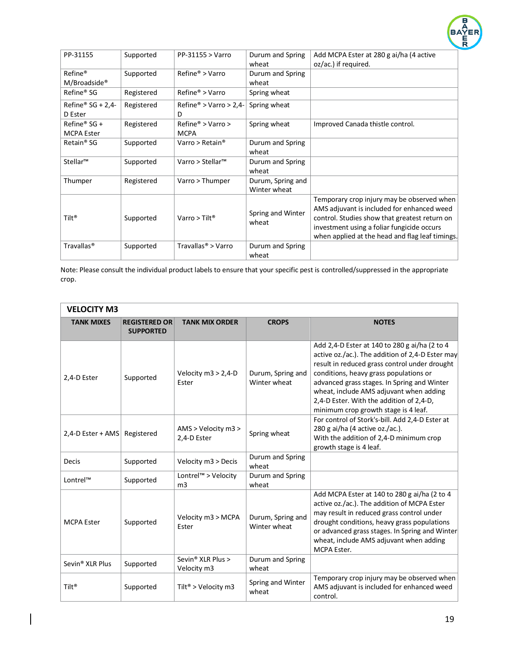

| PP-31155                                        | Supported  | PP-31155 > Varro                        | Durum and Spring<br>wheat         | Add MCPA Ester at 280 g ai/ha (4 active<br>oz/ac.) if required.                                                                                                                                                                            |
|-------------------------------------------------|------------|-----------------------------------------|-----------------------------------|--------------------------------------------------------------------------------------------------------------------------------------------------------------------------------------------------------------------------------------------|
| Refine <sup>®</sup><br>M/Broadside <sup>®</sup> | Supported  | $Refine$ <sup>®</sup> > Varro           | Durum and Spring<br>wheat         |                                                                                                                                                                                                                                            |
| Refine <sup>®</sup> SG                          | Registered | $Refine$ <sup>®</sup> > Varro           | Spring wheat                      |                                                                                                                                                                                                                                            |
| Refine <sup>®</sup> SG + 2,4-<br>D Ester        | Registered | Refine <sup>®</sup> > Varro > 2,4-<br>D | Spring wheat                      |                                                                                                                                                                                                                                            |
| Refine <sup>®</sup> SG +<br><b>MCPA Ester</b>   | Registered | $Refine^* > Varro >$<br><b>MCPA</b>     | Spring wheat                      | Improved Canada thistle control.                                                                                                                                                                                                           |
| Retain <sup>®</sup> SG                          | Supported  | Varro > Retain <sup>®</sup>             | Durum and Spring<br>wheat         |                                                                                                                                                                                                                                            |
| Stellar™                                        | Supported  | Varro > Stellar <sup>™</sup>            | Durum and Spring<br>wheat         |                                                                                                                                                                                                                                            |
| Thumper                                         | Registered | Varro > Thumper                         | Durum, Spring and<br>Winter wheat |                                                                                                                                                                                                                                            |
| Tilt <sup>®</sup>                               | Supported  | Varro > Tilt <sup>®</sup>               | Spring and Winter<br>wheat        | Temporary crop injury may be observed when<br>AMS adjuvant is included for enhanced weed<br>control. Studies show that greatest return on<br>investment using a foliar fungicide occurs<br>when applied at the head and flag leaf timings. |
| Travallas <sup>®</sup>                          | Supported  | Travallas <sup>®</sup> > Varro          | Durum and Spring<br>wheat         |                                                                                                                                                                                                                                            |

| <b>VELOCITY M3</b>          |                                          |                                              |                                   |                                                                                                                                                                                                                                                                                                                                                                            |
|-----------------------------|------------------------------------------|----------------------------------------------|-----------------------------------|----------------------------------------------------------------------------------------------------------------------------------------------------------------------------------------------------------------------------------------------------------------------------------------------------------------------------------------------------------------------------|
| <b>TANK MIXES</b>           | <b>REGISTERED OR</b><br><b>SUPPORTED</b> | <b>TANK MIX ORDER</b>                        | <b>CROPS</b>                      | <b>NOTES</b>                                                                                                                                                                                                                                                                                                                                                               |
| 2,4-D Ester                 | Supported                                | Velocity $m3 > 2,4$ -D<br>Ester              | Durum, Spring and<br>Winter wheat | Add 2,4-D Ester at 140 to 280 g ai/ha (2 to 4<br>active oz./ac.). The addition of 2,4-D Ester may<br>result in reduced grass control under drought<br>conditions, heavy grass populations or<br>advanced grass stages. In Spring and Winter<br>wheat, include AMS adjuvant when adding<br>2,4-D Ester. With the addition of 2,4-D,<br>minimum crop growth stage is 4 leaf. |
| 2,4-D Ester + AMS           | Registered                               | AMS > Velocity m3 ><br>2,4-D Ester           | Spring wheat                      | For control of Stork's-bill. Add 2,4-D Ester at<br>280 g ai/ha (4 active oz./ac.).<br>With the addition of 2,4-D minimum crop<br>growth stage is 4 leaf.                                                                                                                                                                                                                   |
| <b>Decis</b>                | Supported                                | Velocity m3 > Decis                          | Durum and Spring<br>wheat         |                                                                                                                                                                                                                                                                                                                                                                            |
| Lontrel™                    | Supported                                | Lontrel™ > Velocity<br>m <sub>3</sub>        | Durum and Spring<br>wheat         |                                                                                                                                                                                                                                                                                                                                                                            |
| <b>MCPA Ester</b>           | Supported                                | Velocity m3 > MCPA<br>Ester                  | Durum, Spring and<br>Winter wheat | Add MCPA Ester at 140 to 280 g ai/ha (2 to 4<br>active oz./ac.). The addition of MCPA Ester<br>may result in reduced grass control under<br>drought conditions, heavy grass populations<br>or advanced grass stages. In Spring and Winter<br>wheat, include AMS adjuvant when adding<br>MCPA Ester.                                                                        |
| Sevin <sup>®</sup> XLR Plus | Supported                                | Sevin <sup>®</sup> XLR Plus ><br>Velocity m3 | Durum and Spring<br>wheat         |                                                                                                                                                                                                                                                                                                                                                                            |
| Tilt <sup>®</sup>           | Supported                                | Tilt® > Velocity m3                          | Spring and Winter<br>wheat        | Temporary crop injury may be observed when<br>AMS adjuvant is included for enhanced weed<br>control.                                                                                                                                                                                                                                                                       |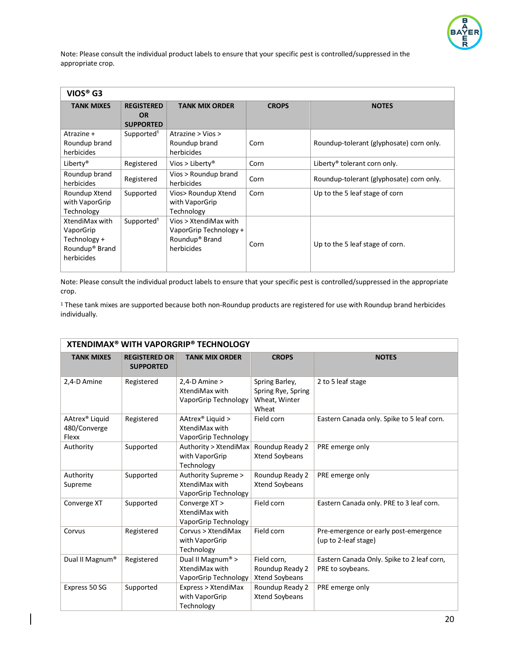

| VIOS® G3                                                                                |                                                    |                                                                                             |              |                                          |
|-----------------------------------------------------------------------------------------|----------------------------------------------------|---------------------------------------------------------------------------------------------|--------------|------------------------------------------|
| <b>TANK MIXES</b>                                                                       | <b>REGISTERED</b><br><b>OR</b><br><b>SUPPORTED</b> | <b>TANK MIX ORDER</b>                                                                       | <b>CROPS</b> | <b>NOTES</b>                             |
| Atrazine +<br>Roundup brand<br>herbicides                                               | Supported <sup>1</sup>                             | Atrazine > Vios ><br>Roundup brand<br>herbicides                                            | Corn         | Roundup-tolerant (glyphosate) corn only. |
| Liberty <sup>®</sup>                                                                    | Registered                                         | Vios > Liberty <sup>®</sup>                                                                 | Corn         | Liberty <sup>®</sup> tolerant corn only. |
| Roundup brand<br>herbicides                                                             | Registered                                         | Vios > Roundup brand<br>herbicides                                                          | Corn         | Roundup-tolerant (glyphosate) corn only. |
| Roundup Xtend<br>with VaporGrip<br>Technology                                           | Supported                                          | Vios> Roundup Xtend<br>with VaporGrip<br>Technology                                         | Corn         | Up to the 5 leaf stage of corn           |
| XtendiMax with<br>VaporGrip<br>Technology +<br>Roundup <sup>®</sup> Brand<br>herbicides | Supported <sup>1</sup>                             | Vios > XtendiMax with<br>VaporGrip Technology +<br>Roundup <sup>®</sup> Brand<br>herbicides | Corn         | Up to the 5 leaf stage of corn.          |

Note: Please consult the individual product labels to ensure that your specific pest is controlled/suppressed in the appropriate crop.

<sup>1</sup> These tank mixes are supported because both non-Roundup products are registered for use with Roundup brand herbicides individually.

| <b>XTENDIMAX<sup>®</sup> WITH VAPORGRIP® TECHNOLOGY</b> |                                          |                                                                         |                                                                |                                                                |  |
|---------------------------------------------------------|------------------------------------------|-------------------------------------------------------------------------|----------------------------------------------------------------|----------------------------------------------------------------|--|
| <b>TANK MIXES</b>                                       | <b>REGISTERED OR</b><br><b>SUPPORTED</b> | <b>TANK MIX ORDER</b>                                                   | <b>CROPS</b>                                                   | <b>NOTES</b>                                                   |  |
| 2,4-D Amine                                             | Registered                               | $2,4$ -D Amine ><br>XtendiMax with<br>VaporGrip Technology              | Spring Barley,<br>Spring Rye, Spring<br>Wheat, Winter<br>Wheat | 2 to 5 leaf stage                                              |  |
| AAtrex <sup>®</sup> Liquid<br>480/Converge<br>Flexx     | Registered                               | AAtrex <sup>®</sup> Liquid ><br>XtendiMax with<br>VaporGrip Technology  | Field corn                                                     | Eastern Canada only. Spike to 5 leaf corn.                     |  |
| Authority                                               | Supported                                | Authority > XtendiMax<br>with VaporGrip<br>Technology                   | Roundup Ready 2<br>Xtend Soybeans                              | PRE emerge only                                                |  |
| Authority<br>Supreme                                    | Supported                                | Authority Supreme ><br>XtendiMax with<br>VaporGrip Technology           | Roundup Ready 2<br>Xtend Soybeans                              | PRE emerge only                                                |  |
| Converge XT                                             | Supported                                | Converge XT ><br>XtendiMax with<br>VaporGrip Technology                 | Field corn                                                     | Eastern Canada only. PRE to 3 leaf corn.                       |  |
| Corvus                                                  | Registered                               | Corvus > XtendiMax<br>with VaporGrip<br>Technology                      | Field corn                                                     | Pre-emergence or early post-emergence<br>(up to 2-leaf stage)  |  |
| Dual II Magnum®                                         | Registered                               | Dual II Magnum <sup>®</sup> ><br>XtendiMax with<br>VaporGrip Technology | Field corn,<br>Roundup Ready 2<br>Xtend Soybeans               | Eastern Canada Only. Spike to 2 leaf corn,<br>PRE to soybeans. |  |
| Express 50 SG                                           | Supported                                | Express > XtendiMax<br>with VaporGrip<br>Technology                     | Roundup Ready 2<br>Xtend Soybeans                              | PRE emerge only                                                |  |

 $\overline{\phantom{a}}$